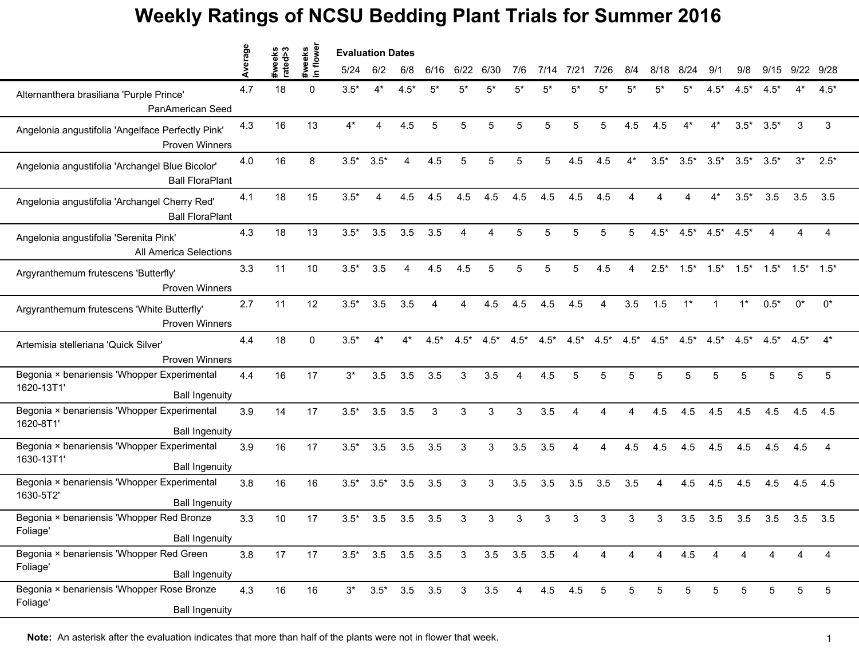|                                                                                    | erage | weeks<br>ated>3 | flower               | <b>Evaluation Dates</b> |                         |        |        |                |                   |        |        |                |        |        |        |        |                 |                 |        |                 |                |  |
|------------------------------------------------------------------------------------|-------|-----------------|----------------------|-------------------------|-------------------------|--------|--------|----------------|-------------------|--------|--------|----------------|--------|--------|--------|--------|-----------------|-----------------|--------|-----------------|----------------|--|
|                                                                                    |       | ate             | #weeks<br>$\epsilon$ | 5/24                    | 6/2                     | 6/8    | 6/16   | 6/22           | 6/30              | 7/6    | 7/14   | 7/21           | 7/26   | 8/4    | 8/18   | 8/24   | 9/1             | 9/8             | 9/15   |                 | 9/22 9/28      |  |
| Alternanthera brasiliana 'Purple Prince'<br>PanAmerican Seed                       | 4.7   | 18              | $\Omega$             | $3.5*$                  | $4^*$                   | $4.5*$ | 5*     |                |                   | 5*     | 5'     | 5*             | 5,     | 5*     | 5*     | 5*     | $4.5*$          | $4.5*$          | $4.5*$ |                 | $4.5*$         |  |
| Angelonia angustifolia 'Angelface Perfectly Pink'<br><b>Proven Winners</b>         | 4.3   | 16              | 13                   | $4^*$                   | 4                       | 4.5    | 5      | 5              | 5                 | 5      | 5      | 5              | 5      | 4.5    | 4.5    | $4^*$  | $4^*$           | $3.5*$          | $3.5*$ | 3               | 3              |  |
| Angelonia angustifolia 'Archangel Blue Bicolor'<br><b>Ball FloraPlant</b>          | 4.0   | 16              | 8                    | $3.5*$                  | $3.5*$                  | 4      | 4.5    | 5              | 5                 | 5      |        | 4.5            | 4.5    | $4^*$  | $3.5*$ | $3.5*$ | $3.5*$          | $3.5^*$ $3.5^*$ |        | $3^*$           | $2.5*$         |  |
| Angelonia angustifolia 'Archangel Cherry Red'<br><b>Ball FloraPlant</b>            | 4.1   | 18              | 15                   | $3.5*$                  | 4                       | 4.5    | 4.5    | 4.5            | 4.5               | 4.5    | 4.5    | 4.5            | 4.5    |        |        |        | $4^*$           | $3.5*$          | 3.5    | 3.5             | 3.5            |  |
| Angelonia angustifolia 'Serenita Pink'<br><b>All America Selections</b>            | 4.3   | 18              | 13                   | $3.5*$                  | 3.5                     | 3.5    | 3.5    | Δ              |                   |        |        |                |        | 5      | $4.5*$ | $4.5*$ | $4.5*$          | $4.5*$          |        | Δ               | 4              |  |
| Argyranthemum frutescens 'Butterfly'<br><b>Proven Winners</b>                      | 3.3   | 11              | 10                   | $3.5*$                  | 3.5                     | 4      | 4.5    | 4.5            | 5                 | 5      | 5      | 5              | 4.5    | 4      | $2.5*$ | $1.5*$ | $1.5*$          | $1.5*$          | $1.5*$ | $1.5^*$ $1.5^*$ |                |  |
| Argyranthemum frutescens 'White Butterfly'<br><b>Proven Winners</b>                | 2.7   | 11              | 12                   | $3.5*$                  | 3.5                     | 3.5    | 4      | 4              | 4.5               | 4.5    | 4.5    | 4.5            | 4      | 3.5    | 1.5    | $1^*$  | $\mathbf{1}$    | $1^*$           | $0.5*$ | $0^*$           | $0^*$          |  |
| Artemisia stelleriana 'Quick Silver'<br><b>Proven Winners</b>                      | 4.4   | 18              | $\Omega$             | $3.5*$                  | $4^*$                   | $4^*$  | $4.5*$ | $4.5*$         | $4.5*$            | $4.5*$ | $4.5*$ | $4.5*$         | $4.5*$ | $4.5*$ | $4.5*$ |        | $4.5^*$ $4.5^*$ | $4.5*$          | $4.5*$ | $4.5*$          | $4^*$          |  |
| Begonia × benariensis 'Whopper Experimental<br>1620-13T1'<br><b>Ball Ingenuity</b> | 4.4   | 16              | 17                   | $3^*$                   | 3.5                     | 3.5    | 3.5    | 3              | 3.5               |        | 4.5    |                |        | 5      |        | 5      | 5               | 5               | 5      | 5               | 5              |  |
| Begonia × benariensis 'Whopper Experimental<br>1620-8T1'<br><b>Ball Ingenuity</b>  | 3.9   | 14              | 17                   | $3.5*$                  | 3.5                     | 3.5    | 3      | 3              | 3                 | 3      | 3.5    | $\Delta$       | Δ      | Δ      | 4.5    | 4.5    | 4.5             | 4.5             | 4.5    | 4.5             | 4.5            |  |
| Begonia × benariensis 'Whopper Experimental<br>1630-13T1'<br><b>Ball Ingenuity</b> | 3.9   | 16              | 17                   | $3.5*$                  | 3.5                     | 3.5    | 3.5    | 3              | 3                 | 3.5    | 3.5    | $\overline{A}$ | 4      | 4.5    | 4.5    | 4.5    | 4.5             | 4.5             | 4.5    | 4.5             | $\overline{4}$ |  |
| Begonia × benariensis 'Whopper Experimental<br>1630-5T2'<br><b>Ball Ingenuity</b>  | 3.8   | 16              | 16                   | $3.5*$                  | $3.5*$                  | 3.5    | 3.5    | 3              | 3                 | 3.5    | 3.5    | 3.5            | 3.5    | 3.5    | 4      | 4.5    | 4.5             | 4.5             | 4.5    | 4.5             | 4.5            |  |
| Begonia × benariensis 'Whopper Red Bronze<br>Foliage'<br><b>Ball Ingenuity</b>     | 3.3   | 10              | 17                   | $3.5*$                  | 3.5                     | 3.5    | 3.5    | 3              | 3                 | 3      | 3      | 3              | 3      | 3      | 3      | 3.5    | 3.5             | 3.5             | 3.5    | 3.5             | 3.5            |  |
| Begonia × benariensis 'Whopper Red Green<br>Foliage'<br><b>Ball Ingenuity</b>      | 3.8   | 17              | 17                   |                         | $3.5^*$ 3.5 3.5 3.5     |        |        | 3 <sup>7</sup> | $3.5$ $3.5$ $3.5$ |        |        | 4              | 4      | 4      | 4      | 4.5    | 4               | 4               | 4      | 4               | 4              |  |
| Begonia × benariensis 'Whopper Rose Bronze<br>Foliage'<br><b>Ball Ingenuity</b>    | 4.3   | 16              | 16                   |                         | $3*$ $3.5*$ $3.5$ $3.5$ |        |        | 3 <sup>7</sup> | 3.5               | 4      |        | 4.5 4.5        | 5      | 5      | 5      | 5      | 5               | 5               | 5      | 5               | 5              |  |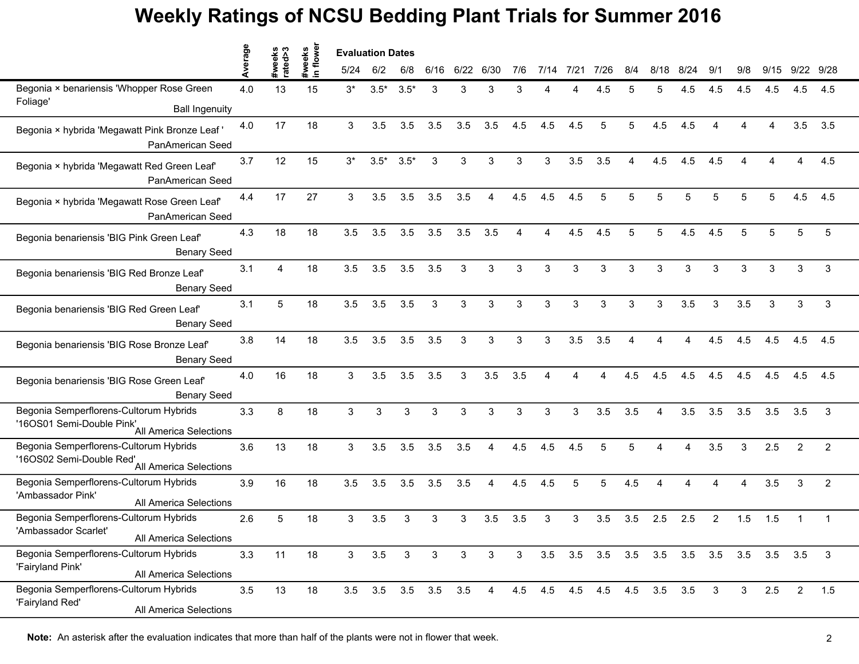|                                                                                              | rage | က<br>승 | flower                 | <b>Evaluation Dates</b> |                   |              |      |              |      |     |      |      |             |     |             |             |                |              |                   |                        |                |
|----------------------------------------------------------------------------------------------|------|--------|------------------------|-------------------------|-------------------|--------------|------|--------------|------|-----|------|------|-------------|-----|-------------|-------------|----------------|--------------|-------------------|------------------------|----------------|
|                                                                                              |      | ate    | #weeks<br>$\mathbf{r}$ | 5/24                    | 6/2               | 6/8          | 6/16 | 6/22         | 6/30 | 7/6 | 7/14 | 7/21 | 7/26        | 8/4 | 8/18        | 8/24        | 9/1            | 9/8          | 9/15              | 9/22                   | 9/28           |
| Begonia × benariensis 'Whopper Rose Green                                                    | 4.0  | 13     | 15                     | $3^*$                   | $3.5*$            | $3.5*$       | 3    | 3            | 3    |     |      |      | 4.5         |     | 5           | 4.5         | 4.5            | 4.5          | 4.5               | 4.5                    | 4.5            |
| Foliage'<br><b>Ball Ingenuity</b>                                                            |      |        |                        |                         |                   |              |      |              |      |     |      |      |             |     |             |             |                |              |                   |                        |                |
| Begonia × hybrida 'Megawatt Pink Bronze Leaf<br>PanAmerican Seed                             | 4.0  | 17     | 18                     | 3                       | 3.5               | 3.5          | 3.5  | 3.5          | 3.5  | 4.5 | 4.5  | 4.5  | 5           | 5   | 4.5         | 4.5         |                |              |                   | 3.5                    | 3.5            |
| Begonia × hybrida 'Megawatt Red Green Leaf'<br>PanAmerican Seed                              | 3.7  | 12     | 15                     | $3^*$                   | $3.5*$            | $3.5*$       | 3    | 3            | 3    | 3   | 3    | 3.5  | 3.5         | Δ   | 4.5         | 4.5         | 4.5            | $\Lambda$    |                   | $\boldsymbol{\Lambda}$ | 4.5            |
| Begonia × hybrida 'Megawatt Rose Green Leaf'<br>PanAmerican Seed                             | 4.4  | 17     | 27                     | 3                       | 3.5               | 3.5          | 3.5  | 3.5          | Δ    | 4.5 | 4.5  | 4.5  | 5           | 5   | 5           | 5           | 5              | 5            | 5                 | 4.5                    | 4.5            |
| Begonia benariensis 'BIG Pink Green Leaf'<br><b>Benary Seed</b>                              | 4.3  | 18     | 18                     | 3.5                     | 3.5               | 3.5          | 3.5  | 3.5          | 3.5  | Λ   | 4    | 4.5  | 4.5         | 5   | 5           | 4.5         | 4.5            | 5            | 5                 | 5                      | 5              |
| Begonia benariensis 'BIG Red Bronze Leaf'<br><b>Benary Seed</b>                              | 3.1  | Δ      | 18                     | 3.5                     | 3.5               | 3.5          | 3.5  | 3            | 3    | 3   | 3    | 3    | 3           | 3   | 3           | 3           | 3              | 3            | 3                 | 3                      | 3              |
| Begonia benariensis 'BIG Red Green Leaf'<br><b>Benary Seed</b>                               | 3.1  | 5      | 18                     | 3.5                     | 3.5               | 3.5          | 3    | 3            | 3    | 3   | 3    | 3    | 3           | 3   | 3           | 3.5         | 3              | 3.5          | 3                 | 3                      | 3              |
| Begonia benariensis 'BIG Rose Bronze Leaf'<br><b>Benary Seed</b>                             | 3.8  | 14     | 18                     | 3.5                     | 3.5               | 3.5          | 3.5  | 3            | 3    | 3   | 3    | 3.5  | 3.5         | Δ   | Λ           | Δ           | 4.5            | 4.5          | 4.5               | 4.5                    | 4.5            |
| Begonia benariensis 'BIG Rose Green Leaf'<br><b>Benary Seed</b>                              | 4.0  | 16     | 18                     | 3                       | 3.5               | 3.5          | 3.5  | 3            | 3.5  | 3.5 | Δ    |      | Δ           | 4.5 | 4.5         | 4.5         | 4.5            | 4.5          | 4.5               | 4.5                    | 4.5            |
| Begonia Semperflorens-Cultorum Hybrids<br>16OS01 Semi-Double Pink'<br>All America Selections | 3.3  | 8      | 18                     | 3                       | 3                 | 3            | 3    | 3            | 3    | 3   | 3    | 3    | 3.5         | 3.5 | Δ           | 3.5         | 3.5            | 3.5          | 3.5               | 3.5                    | 3              |
| Begonia Semperflorens-Cultorum Hybrids<br>'16OS02 Semi-Double Red'<br>All America Selections | 3.6  | 13     | 18                     | 3                       | 3.5               | 3.5          | 3.5  | 3.5          | 4    | 4.5 | 4.5  | 4.5  | 5           | 5   | Δ           | Δ           | 3.5            | 3            | 2.5               | $\overline{2}$         | $\overline{2}$ |
| Begonia Semperflorens-Cultorum Hybrids<br>'Ambassador Pink'<br>All America Selections        | 3.9  | 16     | 18                     | 3.5                     | 3.5               | 3.5          | 3.5  | 3.5          | Δ    | 4.5 | 4.5  | 5    | 5           | 4.5 |             |             |                | Δ            | 3.5               | 3                      | $\overline{2}$ |
| Begonia Semperflorens-Cultorum Hybrids<br>'Ambassador Scarlet'<br>All America Selections     | 2.6  | 5      | 18                     | 3                       | 3.5               | 3            | 3    | 3            | 3.5  | 3.5 | 3    | 3    | 3.5         | 3.5 | 2.5         | 2.5         | $\overline{2}$ | 1.5          | 1.5               | $\mathbf 1$            | $\mathbf{1}$   |
| Begonia Semperflorens-Cultorum Hybrids<br>'Fairyland Pink'<br>All America Selections         | 3.3  | 11     | 18                     | 3 <sup>1</sup>          | 3.5               | $\mathbf{3}$ | 3    | $\mathbf{3}$ | 3    | 3   | 3.5  | 3.5  | 3.5         | 3.5 |             | 3.5 3.5 3.5 |                |              | $3.5$ $3.5$ $3.5$ |                        | 3              |
| Begonia Semperflorens-Cultorum Hybrids<br>'Fairyland Red'<br>All America Selections          | 3.5  | 13     | 18                     | 3.5                     | $3.5$ $3.5$ $3.5$ |              |      | $3.5\quad 4$ |      | 4.5 | 4.5  |      | 4.5 4.5 4.5 |     | $3.5$ $3.5$ |             | $\mathbf{3}$   | $\mathbf{3}$ | 2.5               | $\overline{2}$         | 1.5            |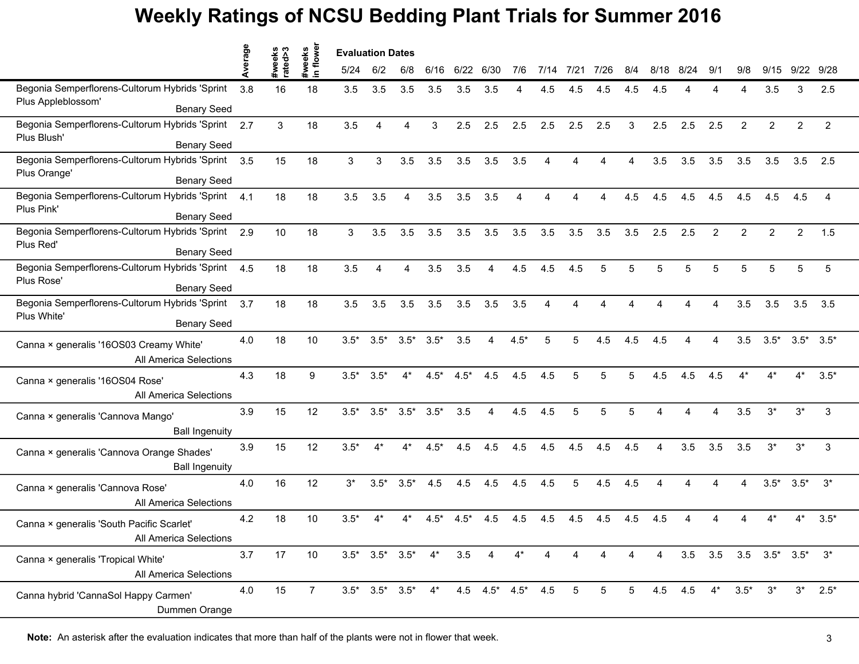|                                                | erage | keek<br>ted> | tweeks<br>n flower | <b>Evaluation Dates</b> |                               |        |                                                           |        |                |        |      |                 |      |     |                        |          |                        |                |                                         |                 |                |  |
|------------------------------------------------|-------|--------------|--------------------|-------------------------|-------------------------------|--------|-----------------------------------------------------------|--------|----------------|--------|------|-----------------|------|-----|------------------------|----------|------------------------|----------------|-----------------------------------------|-----------------|----------------|--|
|                                                |       | #we<br>rate  |                    | 5/24                    | 6/2                           | 6/8    | 6/16                                                      | 6/22   | 6/30           | 7/6    | 7/14 | 7/21            | 7/26 | 8/4 | 8/18                   | 8/24     | 9/1                    | 9/8            | 9/15                                    | 9/22            | 9/28           |  |
| Begonia Semperflorens-Cultorum Hybrids 'Sprint | 3.8   | 16           | 18                 | 3.5                     | 3.5                           | 3.5    | 3.5                                                       | 3.5    | 3.5            |        | 4.5  | 4.5             | 4.5  | 4.5 | 4.5                    |          |                        | Δ              | 3.5                                     | 3               | 2.5            |  |
| Plus Appleblossom'<br><b>Benary Seed</b>       |       |              |                    |                         |                               |        |                                                           |        |                |        |      |                 |      |     |                        |          |                        |                |                                         |                 |                |  |
| Begonia Semperflorens-Cultorum Hybrids 'Sprint | 2.7   | 3            | 18                 | 3.5                     | $\overline{A}$                | Δ      | 3                                                         | 2.5    | 2.5            | 2.5    | 2.5  | 2.5             | 2.5  | 3   | 2.5                    | 2.5      | 2.5                    | $\overline{2}$ | $\overline{2}$                          | $\overline{c}$  | $\overline{2}$ |  |
| Plus Blush'<br><b>Benary Seed</b>              |       |              |                    |                         |                               |        |                                                           |        |                |        |      |                 |      |     |                        |          |                        |                |                                         |                 |                |  |
| Begonia Semperflorens-Cultorum Hybrids 'Sprint | 3.5   | 15           | 18                 | 3                       | 3                             | 3.5    | 3.5                                                       | 3.5    | 3.5            | 3.5    | 4    | Δ               |      | Δ   | 3.5                    | 3.5      | 3.5                    | 3.5            | 3.5                                     | 3.5             | 2.5            |  |
| Plus Orange'<br><b>Benary Seed</b>             |       |              |                    |                         |                               |        |                                                           |        |                |        |      |                 |      |     |                        |          |                        |                |                                         |                 |                |  |
| Begonia Semperflorens-Cultorum Hybrids 'Sprint | 4.1   | 18           | 18                 | 3.5                     | 3.5                           | 4      | 3.5                                                       | 3.5    | 3.5            | 4      |      |                 |      | 4.5 | 4.5                    | 4.5      | 4.5                    | 4.5            | 4.5                                     | 4.5             | 4              |  |
| Plus Pink'<br><b>Benary Seed</b>               |       |              |                    |                         |                               |        |                                                           |        |                |        |      |                 |      |     |                        |          |                        |                |                                         |                 |                |  |
| Begonia Semperflorens-Cultorum Hybrids 'Sprint | 2.9   | 10           | 18                 | 3                       | 3.5                           | 3.5    | 3.5                                                       | 3.5    | 3.5            | 3.5    | 3.5  | 3.5             | 3.5  | 3.5 | 2.5                    | 2.5      | $\mathcal{P}$          | $\overline{2}$ | $\mathfrak{p}$                          | $\overline{2}$  | 1.5            |  |
| Plus Red'<br><b>Benary Seed</b>                |       |              |                    |                         |                               |        |                                                           |        |                |        |      |                 |      |     |                        |          |                        |                |                                         |                 |                |  |
| Begonia Semperflorens-Cultorum Hybrids 'Sprint | 4.5   | 18           | 18                 | 3.5                     | $\overline{A}$                | 4      | 3.5                                                       | 3.5    | 4              | 4.5    | 4.5  | 4.5             | 5    | 5   | 5                      | 5        | 5                      | 5              | 5                                       | 5               | 5              |  |
| Plus Rose'<br><b>Benary Seed</b>               |       |              |                    |                         |                               |        |                                                           |        |                |        |      |                 |      |     |                        |          |                        |                |                                         |                 |                |  |
| Begonia Semperflorens-Cultorum Hybrids 'Sprint | 3.7   | 18           | 18                 | 3.5                     | 3.5                           | 3.5    | 3.5                                                       | 3.5    | 3.5            | 3.5    | 4    | Δ               |      |     |                        | Δ        | $\Delta$               | 3.5            | 3.5                                     | 3.5             | 3.5            |  |
| Plus White'<br><b>Benary Seed</b>              |       |              |                    |                         |                               |        |                                                           |        |                |        |      |                 |      |     |                        |          |                        |                |                                         |                 |                |  |
| Canna × generalis '16OS03 Creamy White'        | 4.0   | 18           | 10                 | $3.5*$                  | $3.5*$                        | $3.5*$ | $3.5*$                                                    | 3.5    | 4              | $4.5*$ | 5    | 5               | 4.5  | 4.5 | 4.5                    |          | Δ                      | 3.5            | $3.5*$                                  | $3.5^*$ $3.5^*$ |                |  |
| All America Selections                         |       |              |                    |                         |                               |        |                                                           |        |                |        |      |                 |      |     |                        |          |                        |                |                                         |                 |                |  |
| Canna × generalis '16OS04 Rose'                | 4.3   | 18           | 9                  | $3.5*$                  | $3.5*$                        | 4*     | $4.5*$                                                    | $4.5*$ | 4.5            | 4.5    | 4.5  |                 | 5    | 5   | 4.5                    | 4.5      | 4.5                    |                |                                         |                 | $3.5*$         |  |
| All America Selections                         |       |              |                    |                         |                               |        |                                                           |        |                |        |      |                 |      |     |                        |          |                        |                |                                         |                 |                |  |
| Canna × generalis 'Cannova Mango'              | 3.9   | 15           | 12                 | $3.5*$                  | $3.5*$                        | $3.5*$ | $3.5*$                                                    | 3.5    | 4              | 4.5    | 4.5  | 5               | 5    | 5   | $\boldsymbol{\Lambda}$ | $\Delta$ | $\boldsymbol{\Lambda}$ | 3.5            | $3^*$                                   | $3^*$           | 3              |  |
| <b>Ball Ingenuity</b>                          |       |              |                    |                         |                               |        |                                                           |        |                |        |      |                 |      |     |                        |          |                        |                |                                         |                 |                |  |
| Canna × generalis 'Cannova Orange Shades'      | 3.9   | 15           | 12                 | $3.5*$                  | $4*$                          | 4*     | $4.5*$                                                    | 4.5    | 4.5            | 4.5    | 4.5  | 4.5             | 4.5  | 4.5 | 4                      | 3.5      | 3.5                    | 3.5            | $3^*$                                   | $3^*$           | 3              |  |
| <b>Ball Ingenuity</b>                          |       |              |                    |                         |                               |        |                                                           |        |                |        |      |                 |      |     |                        |          |                        |                |                                         |                 |                |  |
| Canna × generalis 'Cannova Rose'               | 4.0   | 16           | 12                 | $3^*$                   | $3.5*$                        | $3.5*$ | 4.5                                                       | 4.5    | 4.5            | 4.5    | 4.5  | 5               | 4.5  | 4.5 |                        |          |                        | 4              | $3.5*$                                  | $3.5*$          | $3^*$          |  |
| All America Selections                         |       |              |                    |                         |                               |        |                                                           |        |                |        |      |                 |      |     |                        |          |                        |                |                                         |                 |                |  |
| Canna × generalis 'South Pacific Scarlet'      | 4.2   | 18           | 10                 | $3.5*$                  |                               |        | 4.5*                                                      | $4.5*$ | 4.5            | 4.5    | 4.5  | 4.5             | 4.5  | 4.5 | 4.5                    |          |                        |                |                                         |                 | $3.5*$         |  |
| All America Selections                         |       |              |                    |                         |                               |        |                                                           |        |                |        |      |                 |      |     |                        |          |                        |                |                                         |                 |                |  |
| Canna × generalis 'Tropical White'             | 3.7   | 17           | 10                 |                         | $3.5^*$ $3.5^*$ $3.5^*$ $4^*$ |        |                                                           | 3.5    | $\overline{4}$ | $4^*$  | 4    | 4               |      | 4   | 4                      |          |                        |                | $3.5$ $3.5$ $3.5$ $3.5^*$ $3.5^*$ $3^*$ |                 |                |  |
| All America Selections                         |       |              |                    |                         |                               |        |                                                           |        |                |        |      |                 |      |     |                        |          |                        |                |                                         |                 |                |  |
| Canna hybrid 'CannaSol Happy Carmen'           | 4.0   | 15           | $\overline{7}$     |                         |                               |        | $3.5^*$ $3.5^*$ $3.5^*$ $4^*$ $4.5$ $4.5^*$ $4.5^*$ $4.5$ |        |                |        |      | $5\overline{)}$ | 5    | 5   |                        | 4.5 4.5  | $4^*$                  | $3.5*$         | $3^*$                                   | $3^*$           | $2.5*$         |  |
| Dummen Orange                                  |       |              |                    |                         |                               |        |                                                           |        |                |        |      |                 |      |     |                        |          |                        |                |                                         |                 |                |  |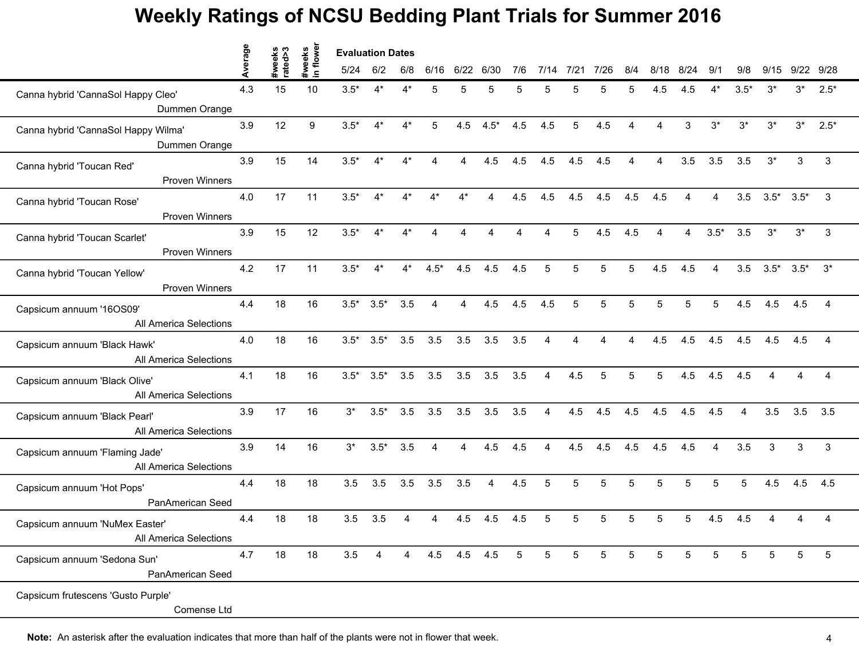|                                                          | verage |                   |                     | <b>Evaluation Dates</b> |        |       |                |                |                |                 |                |                 |      |     |                        |      |                        |                |                       |       |                |
|----------------------------------------------------------|--------|-------------------|---------------------|-------------------------|--------|-------|----------------|----------------|----------------|-----------------|----------------|-----------------|------|-----|------------------------|------|------------------------|----------------|-----------------------|-------|----------------|
|                                                          |        | #weeks<br>rated>3 | #weeks<br>in flower | 5/24                    | 6/2    | 6/8   | 6/16           | 6/22           | 6/30           | 7/6             | 7/14           | 7/21            | 7/26 | 8/4 | 8/18                   | 8/24 | 9/1                    | 9/8            | 9/15                  |       | 9/22 9/28      |
| Canna hybrid 'CannaSol Happy Cleo'<br>Dummen Orange      | 4.3    | 15                | 10                  | $3.5*$                  | $4^*$  | $4^*$ | 5              | 5              | 5              | 5               | 5              | 5               |      | 5   | 4.5                    | 4.5  | 4*                     | $3.5*$         | $3^*$                 | $3^*$ | $2.5*$         |
| Canna hybrid 'CannaSol Happy Wilma'<br>Dummen Orange     | 3.9    | 12                | 9                   | $3.5*$                  | $4^*$  | $4^*$ | 5              | 4.5            | $4.5*$         | 4.5             | 4.5            | 5               | 4.5  | 4   | $\boldsymbol{\Lambda}$ | 3    | $3^*$                  | $3^*$          | $3^*$                 | $3^*$ | $2.5*$         |
| Canna hybrid 'Toucan Red'<br><b>Proven Winners</b>       | 3.9    | 15                | 14                  | $3.5*$                  | $4^*$  | $4*$  | 4              | 4              | 4.5            | 4.5             | 4.5            | 4.5             | 4.5  | 4   | $\overline{A}$         | 3.5  | 3.5                    | 3.5            | $3^*$                 | 3     | $\sqrt{3}$     |
| Canna hybrid 'Toucan Rose'<br><b>Proven Winners</b>      | 4.0    | 17                | 11                  | $3.5*$                  | $4^*$  | $4^*$ | $4^*$          | $4^*$          | 4              | 4.5             | 4.5            | 4.5             | 4.5  | 4.5 | 4.5                    |      | $\overline{4}$         |                | $3.5$ $3.5^*$ $3.5^*$ |       | 3              |
| Canna hybrid 'Toucan Scarlet'<br>Proven Winners          | 3.9    | 15                | 12                  | $3.5*$                  | $4*$   |       |                | Δ              |                |                 |                | 5               | 4.5  | 4.5 |                        |      | $3.5*$                 | 3.5            | $3^*$                 | $3^*$ | 3              |
| Canna hybrid 'Toucan Yellow'<br><b>Proven Winners</b>    | 4.2    | 17                | 11                  | $3.5*$                  | $4^*$  | $4^*$ | $4.5*$         | 4.5            | 4.5            | 4.5             | 5              | 5               | 5    | 5   | 4.5                    | 4.5  | $\overline{4}$         | 3.5            | $3.5^*$ $3.5^*$       |       | $3^*$          |
| Capsicum annuum '16OS09'<br>All America Selections       | 4.4    | 18                | 16                  | $3.5^*$ $3.5^*$         |        | 3.5   | $\overline{A}$ | $\overline{4}$ | 4.5            | 4.5             | 4.5            | 5               | 5    | 5   | 5                      | 5    | $5^{\circ}$            | 4.5            | 4.5                   | 4.5   | $\overline{4}$ |
| Capsicum annuum 'Black Hawk'<br>All America Selections   | 4.0    | 18                | 16                  | $3.5*$                  | $3.5*$ | 3.5   | 3.5            | 3.5            | 3.5            | 3.5             | 4              | 4               | 4    | 4   | 4.5                    | 4.5  | 4.5                    | 4.5            | 4.5                   | 4.5   | $\overline{4}$ |
| Capsicum annuum 'Black Olive'<br>All America Selections  | 4.1    | 18                | 16                  | $3.5*$                  | $3.5*$ | 3.5   | 3.5            | 3.5            | 3.5            | 3.5             | 4              | 4.5             | 5    | 5   | 5                      | 4.5  | 4.5                    | 4.5            |                       |       | 4              |
| Capsicum annuum 'Black Pearl'<br>All America Selections  | 3.9    | 17                | 16                  | $3^*$                   | $3.5*$ | 3.5   | 3.5            | 3.5            | 3.5            | 3.5             | $\overline{4}$ | 4.5             | 4.5  | 4.5 | 4.5                    | 4.5  | 4.5                    | $\overline{4}$ | 3.5                   | 3.5   | 3.5            |
| Capsicum annuum 'Flaming Jade'<br>All America Selections | 3.9    | 14                | 16                  | $3^*$                   | $3.5*$ | 3.5   | $\overline{4}$ | $\overline{4}$ | 4.5            | 4.5             | $\overline{A}$ | 4.5             | 4.5  | 4.5 | 4.5                    | 4.5  | $\boldsymbol{\Lambda}$ | 3.5            | 3                     | 3     | 3              |
| Capsicum annuum 'Hot Pops'<br>PanAmerican Seed           | 4.4    | 18                | 18                  | 3.5                     | 3.5    | 3.5   | 3.5            | 3.5            | $\overline{4}$ | 4.5             | 5              | 5               | 5    | 5   | 5                      | 5    | 5                      | 5              | 4.5                   | 4.5   | 4.5            |
| Capsicum annuum 'NuMex Easter'<br>All America Selections | 4.4    | 18                | 18                  | 3.5                     | 3.5    | 4     |                | 4.5            | 4.5            | 4.5             | 5              |                 |      |     |                        | 5    | 4.5                    | 4.5            |                       |       | 4              |
| Capsicum annuum 'Sedona Sun'<br>PanAmerican Seed         | 4.7    | 18                | 18                  | 3.5                     | 4      | 4     |                | 4.5 4.5 4.5    |                | $5\overline{)}$ | 5              | $5\phantom{.0}$ | 5    | 5   | 5                      | 5    | 5                      | 5              | 5                     | 5     | 5              |
| Capsicum frutescens 'Gusto Purple'<br>Comense Ltd        |        |                   |                     |                         |        |       |                |                |                |                 |                |                 |      |     |                        |      |                        |                |                       |       |                |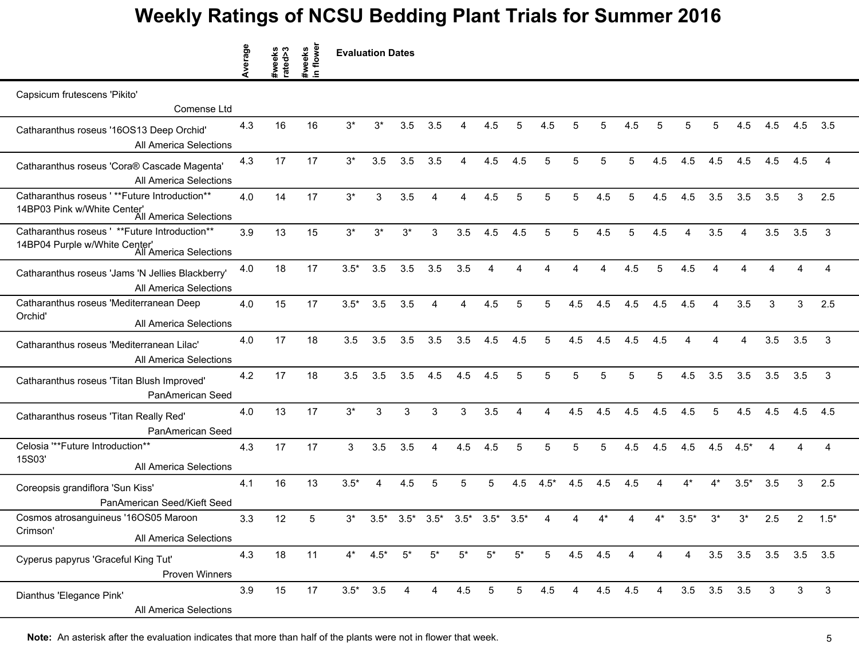|                                                                                                           | Average | #weeks<br>rated>3 | #weeks<br>in flower | <b>Evaluation Dates</b> |             |                |                |        |                 |                |        |                |         |     |                |        |                        |                   |     |             |                |
|-----------------------------------------------------------------------------------------------------------|---------|-------------------|---------------------|-------------------------|-------------|----------------|----------------|--------|-----------------|----------------|--------|----------------|---------|-----|----------------|--------|------------------------|-------------------|-----|-------------|----------------|
| Capsicum frutescens 'Pikito'                                                                              |         |                   |                     |                         |             |                |                |        |                 |                |        |                |         |     |                |        |                        |                   |     |             |                |
| Comense Ltd                                                                                               |         |                   |                     |                         |             |                |                |        |                 |                |        |                |         |     |                |        |                        |                   |     |             |                |
| Catharanthus roseus '16OS13 Deep Orchid'<br>All America Selections                                        | 4.3     | 16                | 16                  | 3*                      | 3*          | 3.5            | 3.5            |        | 4.5             | 5              | 4.5    | 5              | 5       | 4.5 | 5              |        | 5                      | 4.5               | 4.5 | 4.5         | 3.5            |
| Catharanthus roseus 'Cora® Cascade Magenta'<br>All America Selections                                     | 4.3     | 17                | 17                  | $3^*$                   | 3.5         | 3.5            | 3.5            | 4      | 4.5             | 4.5            | 5      | 5              | 5       | 5   | 4.5            | 4.5    | 4.5                    | 4.5               | 4.5 | 4.5         | $\overline{A}$ |
| Catharanthus roseus '**Future Introduction**<br>14BP03 Pink w/White Center'<br>All America Selections     | 4.0     | 14                | 17                  | $3^{\star}$             | $\sqrt{3}$  | 3.5            | 4              | 4      | 4.5             | 5              | 5      | 5              | 4.5     | 5   | 4.5            | 4.5    | 3.5                    | 3.5               | 3.5 | 3           | 2.5            |
| Catharanthus roseus ' ** Future Introduction**<br>14BP04 Purple w/White Center'<br>All America Selections | 3.9     | 13                | 15                  | $3^{\star}$             | 3*          | $3^*$          | 3              | 3.5    | 4.5             | 4.5            | 5      | 5              | 4.5     | 5   | 4.5            | 4      | 3.5                    | 4                 | 3.5 | 3.5         | 3              |
| Catharanthus roseus 'Jams 'N Jellies Blackberry'<br>All America Selections                                | 4.0     | 18                | 17                  | $3.5*$                  | 3.5         | 3.5            | 3.5            | 3.5    | Δ               |                |        |                |         | 4.5 | 5              | 4.5    |                        |                   |     |             | 4              |
| Catharanthus roseus 'Mediterranean Deep<br>Orchid'<br>All America Selections                              | 4.0     | 15                | 17                  | $3.5*$                  | 3.5         | 3.5            | 4              | 4      | 4.5             | 5              | 5      | 4.5            | 4.5     | 4.5 | 4.5            | 4.5    | $\boldsymbol{\Lambda}$ | 3.5               | 3   | 3           | 2.5            |
| Catharanthus roseus 'Mediterranean Lilac'<br>All America Selections                                       | 4.0     | 17                | 18                  | 3.5                     | 3.5         | 3.5            | 3.5            | 3.5    | 4.5             | 4.5            | 5      | 4.5            | 4.5     | 4.5 | 4.5            | Δ      | 4                      | 4                 | 3.5 | 3.5         | 3              |
| Catharanthus roseus 'Titan Blush Improved'<br>PanAmerican Seed                                            | 4.2     | 17                | 18                  | 3.5                     | 3.5         | 3.5            | 4.5            | 4.5    | 4.5             | 5              | 5      | 5              | 5       | 5   | 5              | 4.5    | 3.5                    | 3.5               | 3.5 | 3.5         | 3              |
| Catharanthus roseus 'Titan Really Red'<br>PanAmerican Seed                                                | 4.0     | 13                | 17                  | $3^*$                   | 3           | 3              | 3              | 3      | 3.5             | Δ              | Δ      | 4.5            | 4.5     | 4.5 | 4.5            | 4.5    | 5                      | 4.5               | 4.5 | 4.5         | 4.5            |
| Celosia "**Future Introduction**<br>15S03'<br>All America Selections                                      | 4.3     | 17                | 17                  | 3                       | 3.5         | 3.5            | 4              | 4.5    | 4.5             | 5              | 5      | 5              | 5       | 4.5 | 4.5            | 4.5    | 4.5                    | $4.5*$            | Δ   | Δ           | $\overline{A}$ |
| Coreopsis grandiflora 'Sun Kiss'<br>PanAmerican Seed/Kieft Seed                                           | 4.1     | 16                | 13                  | $3.5*$                  | 4           | 4.5            | 5              | 5      | 5               | 4.5            | $4.5*$ | 4.5            | 4.5     | 4.5 | 4              | $4^*$  | $4^*$                  | $3.5*$            | 3.5 | 3           | 2.5            |
| Cosmos atrosanguineus '16OS05 Maroon<br>Crimson'<br>All America Selections                                | 3.3     | 12                | 5                   | 3*                      | $3.5*$      | $3.5*$         | $3.5*$         | $3.5*$ | $3.5*$          | $3.5*$         | 4      | 4              | $4^*$   | Δ   | $4^*$          | $3.5*$ | $3^*$                  | $3^*$             | 2.5 | 2           | $1.5*$         |
| Cyperus papyrus 'Graceful King Tut'<br><b>Proven Winners</b>                                              | 4.3     | 18                | 11                  |                         | $4^*$ 4.5*  | $5^*$          | $5^*$          | $5^*$  | $5^*$           | $5^*$          | 5      |                | 4.5 4.5 | 4   | 4              | 4      |                        | $3.5$ $3.5$ $3.5$ |     | $3.5$ $3.5$ |                |
| Dianthus 'Elegance Pink'<br>All America Selections                                                        | 3.9     | 15                | 17                  |                         | $3.5^*$ 3.5 | $\overline{4}$ | $\overline{4}$ | 4.5    | $5\phantom{.0}$ | 5 <sup>5</sup> | 4.5    | $\overline{4}$ | 4.5     | 4.5 | $\overline{4}$ |        | $3.5\quad 3.5$         | 3.5               | 3   | 3           | $\mathbf{3}$   |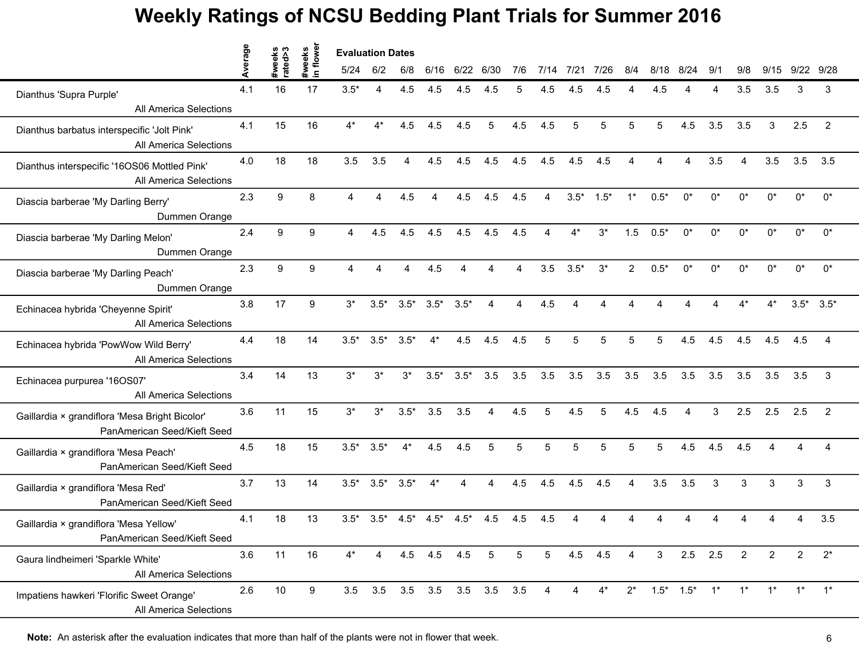|                                                                               | erage |                   |                     | <b>Evaluation Dates</b> |        |                 |         |        |                             |                        |                |        |        |                |                 |            |           |                        |                |                |                 |  |
|-------------------------------------------------------------------------------|-------|-------------------|---------------------|-------------------------|--------|-----------------|---------|--------|-----------------------------|------------------------|----------------|--------|--------|----------------|-----------------|------------|-----------|------------------------|----------------|----------------|-----------------|--|
|                                                                               |       | #weeks<br>rated>3 | #weeks<br>in flower | 5/24                    | 6/2    | 6/8             | 6/16    | 6/22   | 6/30                        | 7/6                    | 7/14           | 7/21   | 7/26   | 8/4            | 8/18            | 8/24       | 9/1       | 9/8                    | 9/15           | 9/22           | 9/28            |  |
| Dianthus 'Supra Purple'<br>All America Selections                             | 4.1   | 16                | 17                  | $3.5*$                  | 4      | 4.5             | 4.5     | 4.5    |                             | 5                      | 4.5            |        | 4.5    |                | 4.5             |            |           | 3.5                    | 3.5            | 3              | 3               |  |
| Dianthus barbatus interspecific 'Jolt Pink'<br><b>All America Selections</b>  | 4.1   | 15                | 16                  | $4^*$                   | $4^*$  | 4.5             | 4.5     | 4.5    | 5                           | 4.5                    | 4.5            | 5      | 5      | 5              | 5               | 4.5        | 3.5       | 3.5                    | 3              | 2.5            | $\overline{2}$  |  |
| Dianthus interspecific '16OS06 Mottled Pink'<br>All America Selections        | 4.0   | 18                | 18                  | 3.5                     | 3.5    | 4               | 4.5     | 4.5    | 4.5                         | 4.5                    | 4.5            | 4.5    | 4.5    |                |                 | 4          | 3.5       | $\boldsymbol{\Lambda}$ | 3.5            | 3.5            | 3.5             |  |
| Diascia barberae 'My Darling Berry'<br>Dummen Orange                          | 2.3   | 9                 | 8                   | $\boldsymbol{\Lambda}$  | 4      | 4.5             | 4       | 4.5    | 4.5                         | 4.5                    | $\overline{4}$ | $3.5*$ | $1.5*$ | $1^*$          | $0.5*$          | $0^*$      | $0^*$     | $0^*$                  | $0^*$          | $0^*$          | $0^*$           |  |
| Diascia barberae 'My Darling Melon'<br>Dummen Orange                          | 2.4   | 9                 | 9                   | 4                       | 4.5    | 4.5             | 4.5     | 4.5    | 4.5                         | 4.5                    |                |        | $3^*$  | 1.5            | $0.5*$          | $^{\circ}$ | $0^*$     | n*                     | n*             | n*             | $0^*$           |  |
| Diascia barberae 'My Darling Peach'<br>Dummen Orange                          | 2.3   | 9                 | 9                   | $\overline{4}$          | 4      | $\overline{4}$  | 4.5     | 4      | $\Delta$                    | $\boldsymbol{\Lambda}$ | 3.5            | $3.5*$ | $3^*$  | $\overline{2}$ | $0.5*$          | $0^*$      | $0^*$     | $0^*$                  | $0^*$          | $0^*$          | $0^*$           |  |
| Echinacea hybrida 'Cheyenne Spirit'<br>All America Selections                 | 3.8   | 17                | 9                   | $3^*$                   | $3.5*$ | $3.5^*$ $3.5^*$ |         | $3.5*$ | $\Delta$                    | Δ                      | 4.5            |        |        |                |                 |            |           | $4*$                   | $4^*$          |                | $3.5^*$ $3.5^*$ |  |
| Echinacea hybrida 'PowWow Wild Berry'<br>All America Selections               | 4.4   | 18                | 14                  | $3.5*$                  | $3.5*$ | $3.5*$          | $4^*$   | 4.5    | 4.5                         | 4.5                    | 5              | 5      | 5      | 5              | 5               | 4.5        | 4.5       | 4.5                    | 4.5            | 4.5            |                 |  |
| Echinacea purpurea '16OS07'<br><b>All America Selections</b>                  | 3.4   | 14                | 13                  | $3^*$                   | $3^*$  | $3^*$           | $3.5*$  | $3.5*$ | 3.5                         | 3.5                    | 3.5            | 3.5    | 3.5    | 3.5            | 3.5             | 3.5        | 3.5       | 3.5                    | 3.5            | 3.5            | 3               |  |
| Gaillardia × grandiflora 'Mesa Bright Bicolor'<br>PanAmerican Seed/Kieft Seed | 3.6   | 11                | 15                  | $3*$                    | $3^*$  | $3.5*$          | 3.5     | 3.5    | $\overline{4}$              | 4.5                    | 5              | 4.5    | 5      | 4.5            | 4.5             | 4          | 3         | 2.5                    | 2.5            | 2.5            | $\overline{2}$  |  |
| Gaillardia × grandiflora 'Mesa Peach'<br>PanAmerican Seed/Kieft Seed          | 4.5   | 18                | 15                  | $3.5*$                  | $3.5*$ | $4^*$           | 4.5     | 4.5    | 5                           | 5                      | 5              | 5      | 5      | 5              | 5               | 4.5        | 4.5       | 4.5                    |                |                |                 |  |
| Gaillardia × grandiflora 'Mesa Red'<br>PanAmerican Seed/Kieft Seed            | 3.7   | 13                | 14                  | $3.5*$                  | $3.5*$ | $3.5*$          | $4^*$   | 4      | Δ                           | 4.5                    | 4.5            | 4.5    | 4.5    | 4              | 3.5             | 3.5        | 3         | 3                      | 3              | 3              | 3               |  |
| Gaillardia × grandiflora 'Mesa Yellow'<br>PanAmerican Seed/Kieft Seed         | 4.1   | 18                | 13                  | $3.5*$                  | $3.5*$ | $4.5*$          | $4.5*$  | $4.5*$ | 4.5                         | 4.5                    | 4.5            |        |        |                |                 |            |           |                        |                |                | 3.5             |  |
| Gaura lindheimeri 'Sparkle White'<br>All America Selections                   | 3.6   | 11                | 16                  | $4^*$                   | 4      |                 | 4.5 4.5 | 4.5    | $5\phantom{.0}$             | $5\phantom{.0}$        | 5              | 4.5    | 4.5    | 4              | $\mathbf{3}$    |            | $2.5$ 2.5 | $\overline{2}$         | $\overline{2}$ | $\overline{2}$ | $2^*$           |  |
| Impatiens hawkeri 'Florific Sweet Orange'<br>All America Selections           | 2.6   | 10                | 9                   |                         |        |                 |         |        | 3.5 3.5 3.5 3.5 3.5 3.5 3.5 |                        | 4              | 4      | $4^*$  | $2^*$          | $1.5^*$ $1.5^*$ |            | $1^*$     | $1^*$                  | $1^*$          | $1^*$          | $1^*$           |  |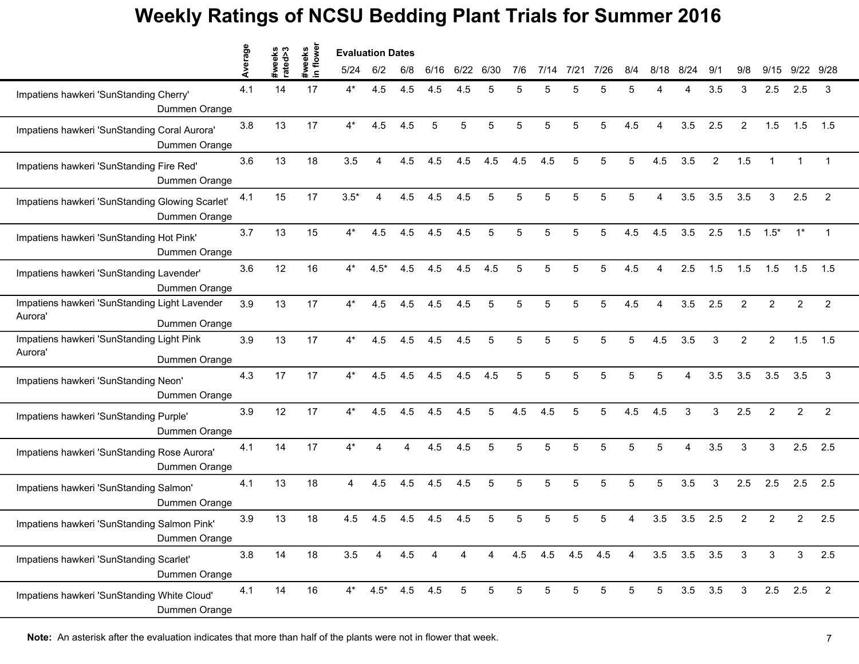|                                                                           | erage | #weeks<br>rated>3 | flower               | <b>Evaluation Dates</b> |                 |     |      |                 |                 |                 |     |                 |      |                |                        |                |     |     |                |                |                |
|---------------------------------------------------------------------------|-------|-------------------|----------------------|-------------------------|-----------------|-----|------|-----------------|-----------------|-----------------|-----|-----------------|------|----------------|------------------------|----------------|-----|-----|----------------|----------------|----------------|
|                                                                           | ⊄     |                   | #weeks<br>$\epsilon$ | 5/24                    | 6/2             | 6/8 | 6/16 | 6/22            | 6/30            | 7/6             |     | $7/2^7$         | 7/26 | 8/4            | 8/18                   | 8/24           | 9/1 | 9/8 | 9/15           | 9/22           | 9/28           |
| Impatiens hawkeri 'SunStanding Cherry'<br>Dummen Orange                   | 4.1   | 14                | 17                   | $4^*$                   | 4.5             | 4.5 | 4.5  | 4.5             |                 |                 |     |                 |      | 5              |                        |                | 3.5 | 3   | 2.5            | 2.5            | 3              |
| Impatiens hawkeri 'SunStanding Coral Aurora'<br>Dummen Orange             | 3.8   | 13                | 17                   | $4^*$                   | 4.5             | 4.5 | 5    | 5               | 5               | 5               | 5   | 5               | 5    | 4.5            | Δ                      | 3.5            | 2.5 | 2   | 1.5            | 1.5            | 1.5            |
| Impatiens hawkeri 'SunStanding Fire Red'<br>Dummen Orange                 | 3.6   | 13                | 18                   | 3.5                     | 4               | 4.5 | 4.5  | 4.5             | 4.5             | 4.5             | 4.5 | 5               | 5    | 5              | 4.5                    | 3.5            | 2   | 1.5 |                |                |                |
| Impatiens hawkeri 'SunStanding Glowing Scarlet'<br>Dummen Orange          | 4.1   | 15                | 17                   | $3.5*$                  | 4               | 4.5 | 4.5  | 4.5             | 5               | 5               | 5   | 5               | 5    | 5              |                        | 3.5            | 3.5 | 3.5 | 3              | 2.5            | $\overline{2}$ |
| Impatiens hawkeri 'SunStanding Hot Pink'<br>Dummen Orange                 | 3.7   | 13                | 15                   | $4^*$                   | 4.5             | 4.5 | 4.5  | 4.5             |                 |                 |     |                 |      | 4.5            | 4.5                    | 3.5            | 2.5 | 1.5 | $1.5*$         | $1^*$          | $\mathbf 1$    |
| Impatiens hawkeri 'SunStanding Lavender'<br>Dummen Orange                 | 3.6   | 12                | 16                   | $4^*$                   | $4.5*$          | 4.5 | 4.5  | 4.5             | 4.5             | 5               | 5   | 5               | 5    | 4.5            | $\boldsymbol{\Lambda}$ | 2.5            | 1.5 | 1.5 | 1.5            | 1.5            | 1.5            |
| Impatiens hawkeri 'SunStanding Light Lavender<br>Aurora'<br>Dummen Orange | 3.9   | 13                | 17                   | $4^*$                   | 4.5             | 4.5 | 4.5  | 4.5             | 5               | 5               | 5   | 5               | 5    | 4.5            | $\boldsymbol{\Lambda}$ | 3.5            | 2.5 | 2   | $\overline{2}$ | $\overline{2}$ | $\overline{2}$ |
| Impatiens hawkeri 'SunStanding Light Pink<br>Aurora'<br>Dummen Orange     | 3.9   | 13                | 17                   | $4^*$                   | 4.5             | 4.5 | 4.5  | 4.5             | 5               | 5               |     |                 | 5    | 5              | 4.5                    | 3.5            | 3   | 2   | $\overline{2}$ | 1.5            | 1.5            |
| Impatiens hawkeri 'SunStanding Neon'<br>Dummen Orange                     | 4.3   | 17                | 17                   | $4^*$                   | 4.5             | 4.5 | 4.5  | 4.5             | 4.5             | 5               |     | 5               | 5    | 5              |                        |                | 3.5 | 3.5 | 3.5            | 3.5            | 3              |
| Impatiens hawkeri 'SunStanding Purple'<br>Dummen Orange                   | 3.9   | 12                | 17                   | $4^*$                   | 4.5             | 4.5 | 4.5  | 4.5             | 5               | 4.5             | 4.5 | 5               | 5    | 4.5            | 4.5                    | 3              | 3   | 2.5 | $\overline{2}$ | $\overline{c}$ | $\overline{c}$ |
| Impatiens hawkeri 'SunStanding Rose Aurora'<br>Dummen Orange              | 4.1   | 14                | 17                   | $4^*$                   | Δ               | Δ   | 4.5  | 4.5             | 5               | 5               | 5   | 5               | 5    | 5              | 5                      | $\Delta$       | 3.5 | 3   | 3              | 2.5            | 2.5            |
| Impatiens hawkeri 'SunStanding Salmon'<br>Dummen Orange                   | 4.1   | 13                | 18                   | 4                       | 4.5             | 4.5 | 4.5  | 4.5             | 5               | 5               | 5   | 5               | 5    | 5              | 5                      | 3.5            | 3   | 2.5 | 2.5            | 2.5            | 2.5            |
| Impatiens hawkeri 'SunStanding Salmon Pink'<br>Dummen Orange              | 3.9   | 13                | 18                   | 4.5                     | 4.5             | 4.5 | 4.5  | 4.5             |                 |                 |     |                 |      |                | 3.5                    | 3.5            | 2.5 | 2   | 2              | $\overline{2}$ | 2.5            |
| Impatiens hawkeri 'SunStanding Scarlet'<br>Dummen Orange                  | 3.8   | 14                | 18                   | 3.5                     | 4               | 4.5 | 4    | 4               | 4               | 4.5             | 4.5 | 4.5 4.5         |      | $\overline{4}$ |                        | $3.5\quad 3.5$ | 3.5 | 3   | 3              | 3              | 2.5            |
| Impatiens hawkeri 'SunStanding White Cloud'<br>Dummen Orange              | 4.1   | 14                | 16                   | $4^*$                   | $4.5^*$ 4.5 4.5 |     |      | $5\phantom{.0}$ | $5\phantom{.0}$ | $5\phantom{.0}$ | 5   | $5\phantom{.0}$ | 5    | 5              | 5                      | 3.5            | 3.5 | 3   |                | $2.5$ 2.5      | $\overline{2}$ |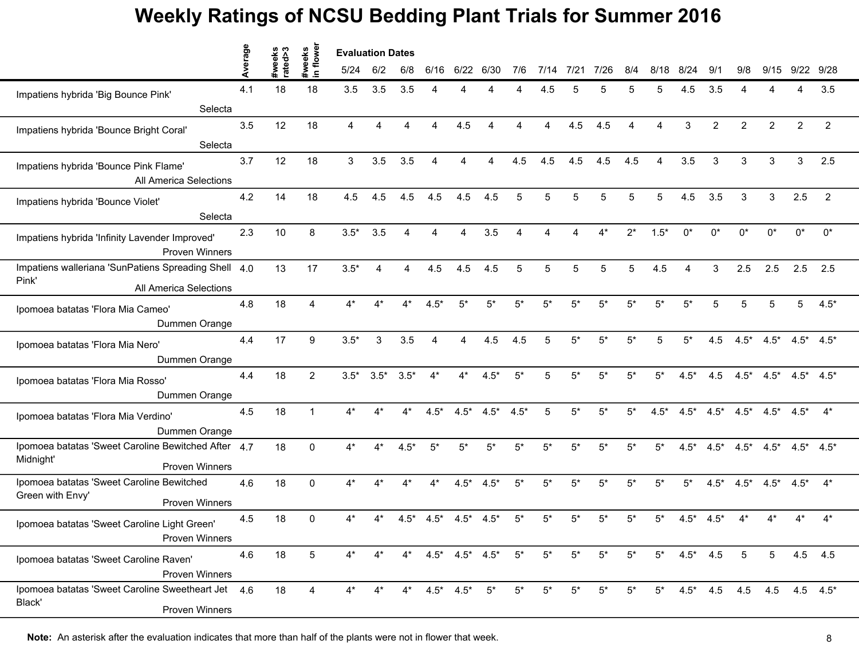|                                                                                           | werage | eeks<br>ed>3 | weeks<br>n flower | <b>Evaluation Dates</b> |                |        |                        |                               |        |        |       |             |       |          |                        |                        |                |                |                     |                 |                 |
|-------------------------------------------------------------------------------------------|--------|--------------|-------------------|-------------------------|----------------|--------|------------------------|-------------------------------|--------|--------|-------|-------------|-------|----------|------------------------|------------------------|----------------|----------------|---------------------|-----------------|-----------------|
|                                                                                           | ⋖      | ate          | $\mathbf{a}$      | 5/24                    | 6/2            | 6/8    | 6/16                   | 6/22                          | 6/30   | 7/6    | 7/14  | 7/21        | 7/26  | 8/4      | 8/18                   | 8/24                   | 9/1            | 9/8            | 9/15                | 9/22            | 9/28            |
| Impatiens hybrida 'Big Bounce Pink'                                                       | 4.1    | 18           | 18                | 3.5                     | 3.5            | 3.5    |                        |                               |        |        | 4.5   |             |       | 5        | 5                      | 4.5                    | 3.5            |                |                     | Δ               | 3.5             |
| Selecta                                                                                   |        |              |                   |                         |                |        |                        |                               |        |        |       |             |       |          |                        |                        |                |                |                     |                 |                 |
| Impatiens hybrida 'Bounce Bright Coral'<br>Selecta                                        | 3.5    | 12           | 18                | $\overline{A}$          | Δ              | Δ      | $\boldsymbol{\Lambda}$ | 4.5                           |        |        | 4     | 4.5         | 4.5   | $\Delta$ | $\boldsymbol{\Lambda}$ | 3                      | $\overline{2}$ | $\overline{2}$ | $\overline{2}$      | $\overline{2}$  | $\overline{c}$  |
| Impatiens hybrida 'Bounce Pink Flame'<br>All America Selections                           | 3.7    | 12           | 18                | 3                       | 3.5            | 3.5    |                        | 4                             |        | 4.5    | 4.5   | 4.5         | 4.5   | 4.5      | Δ                      | 3.5                    | 3              | 3              | 3                   | 3               | 2.5             |
| Impatiens hybrida 'Bounce Violet'<br>Selecta                                              | 4.2    | 14           | 18                | 4.5                     | 4.5            | 4.5    | 4.5                    | 4.5                           | 4.5    | 5      | 5     | 5           | 5     | 5        | 5                      | 4.5                    | 3.5            | 3              | 3                   | 2.5             | $\overline{2}$  |
| Impatiens hybrida 'Infinity Lavender Improved'<br><b>Proven Winners</b>                   | 2.3    | 10           | 8                 | $3.5*$                  | 3.5            | Δ      |                        |                               | 3.5    |        |       |             |       | $2^*$    | $1.5*$                 | $^{\circ}$             | $^{\circ}$     | n*             | $^{\circ}$          | ሰ*              | $0^*$           |
| Impatiens walleriana 'SunPatiens Spreading Shell<br>Pink'<br>All America Selections       | 4.0    | 13           | 17                | $3.5*$                  | $\overline{4}$ | Δ      | 4.5                    | 4.5                           | 4.5    | 5      | 5     | 5           | 5     | 5        | 4.5                    | $\boldsymbol{\Lambda}$ | 3              | 2.5            | 2.5                 | 2.5             | 2.5             |
| Ipomoea batatas 'Flora Mia Cameo'<br>Dummen Orange                                        | 4.8    | 18           | 4                 | $4^*$                   |                |        | $4.5*$                 | $5*$                          | $5*$   | $5*$   | $5*$  | 5*          | $5*$  | $5*$     | $5*$                   | $5*$                   | 5              | 5              | 5                   | 5               | $4.5*$          |
| Ipomoea batatas 'Flora Mia Nero'<br>Dummen Orange                                         | 4.4    | 17           | 9                 | $3.5*$                  | 3              | 3.5    | 4                      | 4                             | 4.5    | 4.5    | 5     | $5*$        | $5^*$ | $5*$     | 5                      | $5^*$                  | 4.5            | $4.5*$         | $4.5*$              |                 | $4.5^*$ $4.5^*$ |
| Ipomoea batatas 'Flora Mia Rosso'<br>Dummen Orange                                        | 4.4    | 18           | 2                 | $3.5*$                  | $3.5*$         | $3.5*$ | $4*$                   | 4*                            | $4.5*$ | $5*$   |       | $5*$        | $5*$  | $5*$     | 5*                     | $4.5*$                 | 4.5            | $4.5*$         | $4.5*$              |                 | $4.5^*$ $4.5^*$ |
| Ipomoea batatas 'Flora Mia Verdino'<br>Dummen Orange                                      | 4.5    | 18           | $\mathbf 1$       | $4^*$                   | $4*$           | $4^*$  | $4.5*$                 | $4.5*$                        | $4.5*$ | $4.5*$ | 5     | $5^{\star}$ | $5*$  | $5^*$    | $4.5*$                 | $4.5*$                 | $4.5*$         | $4.5*$         | $4.5*$              | $4.5*$          | $4^*$           |
| Ipomoea batatas 'Sweet Caroline Bewitched After 4.7<br>Midnight'<br><b>Proven Winners</b> |        | 18           | $\Omega$          | $4^*$                   |                | $4.5*$ | 5*                     | $5*$                          | $5*$   | $5*$   | $5*$  | $5*$        | $5*$  | 5*       | $5*$                   | $4.5*$                 | $4.5*$         | $4.5*$         | $4.5*$              | $4.5^*$ $4.5^*$ |                 |
| Ipomoea batatas 'Sweet Caroline Bewitched<br>Green with Envy'<br><b>Proven Winners</b>    | 4.6    | 18           | $\Omega$          | $4^*$                   |                |        | 4*                     | $4.5*$                        | $4.5*$ | $5*$   | $5*$  | $5^*$       | $5^*$ | $5*$     | $5*$                   | $5*$                   | $4.5*$         | $4.5*$         | $4.5*$              | $4.5*$          | $4^*$           |
| Ipomoea batatas 'Sweet Caroline Light Green'<br>Proven Winners                            | 4.5    | 18           | 0                 | 4*                      |                | $4.5*$ | $4.5*$                 | $4.5*$                        | $4.5*$ | 5*     |       | 5*          | 5'    | 5*       | 5'                     | $4.5*$                 | $4.5*$         |                |                     |                 | $4^*$           |
| Ipomoea batatas 'Sweet Caroline Raven'<br><b>Proven Winners</b>                           | 4.6    | 18           | 5                 | $4^*$                   | $4^*$          |        |                        | $4^*$ $4.5^*$ $4.5^*$ $4.5^*$ |        | $5^*$  | $5^*$ | $5^*$       | $5^*$ | $5^*$    | $5^*$                  | $4.5^*$ 4.5            |                | 5              | 5                   |                 | $4.5$ $4.5$     |
| Ipomoea batatas 'Sweet Caroline Sweetheart Jet 4.6<br>Black'<br><b>Proven Winners</b>     |        | 18           | 4                 | 4*                      |                |        |                        | $4^*$ $4.5^*$ $4.5^*$         | $5^*$  | $5^*$  | $5*$  | $5^*$       | $5^*$ | $5^*$    | $5^*$                  |                        |                |                | $4.5^*$ 4.5 4.5 4.5 |                 | $4.5$ $4.5^*$   |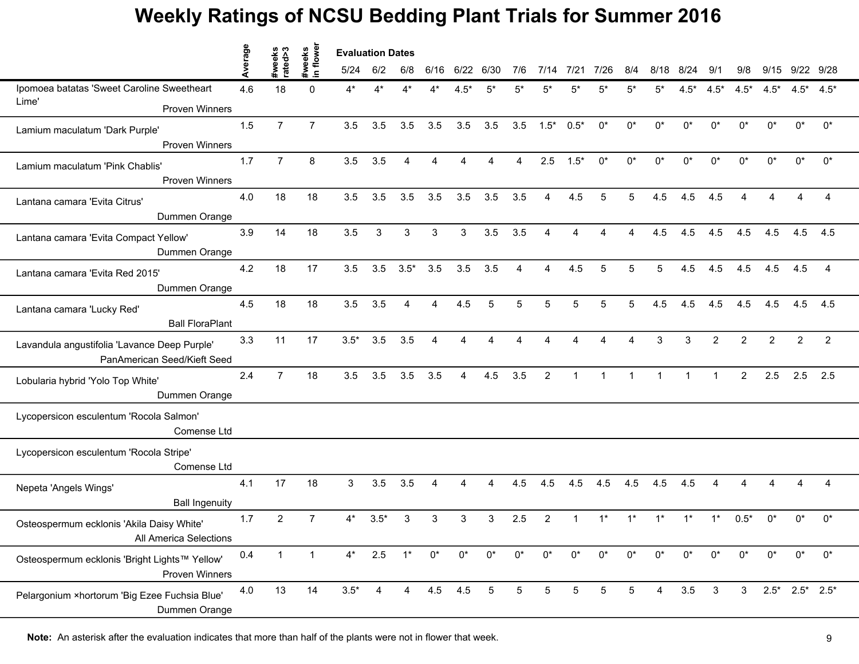|                                               | erage | s<br>s<br>sxeks | flower<br>#weeks | <b>Evaluation Dates</b> |                |                |                        |       |       |                |                |        |                         |                |       |         |                |                |                |                         |                |  |
|-----------------------------------------------|-------|-----------------|------------------|-------------------------|----------------|----------------|------------------------|-------|-------|----------------|----------------|--------|-------------------------|----------------|-------|---------|----------------|----------------|----------------|-------------------------|----------------|--|
|                                               |       | ate             | $\mathbf{a}$     | 5/24                    | 6/2            | 6/8            | 6/16                   | 6/22  | 6/30  | 7/6            | 7/14           | 7/21   | 7/26                    | 8/4            | 8/18  | 8/24    | 9/1            | 9/8            | 9/15           | 9/22 9/28               |                |  |
| Ipomoea batatas 'Sweet Caroline Sweetheart    | 4.6   | 18              | $\Omega$         | $4^*$                   |                |                |                        | 4.5*  | 5*    | 5*             | 5*             | 5*     | 5,                      | 5*             | 5'    | $4.5*$  | $4.5*$         | $4.5*$         | $4.5*$         | $4.5*$                  | $4.5*$         |  |
| Lime'<br><b>Proven Winners</b>                |       |                 |                  |                         |                |                |                        |       |       |                |                |        |                         |                |       |         |                |                |                |                         |                |  |
| Lamium maculatum 'Dark Purple'                | 1.5   | $\overline{7}$  | $\overline{7}$   | 3.5                     | 3.5            | 3.5            | 3.5                    | 3.5   | 3.5   | 3.5            | $1.5*$         | $0.5*$ | $0^*$                   | $0^*$          | 0*    | 0*      | $0^*$          | $0^*$          | 0*             | $0^*$                   | $0^*$          |  |
| <b>Proven Winners</b>                         |       |                 |                  |                         |                |                |                        |       |       |                |                |        |                         |                |       |         |                |                |                |                         |                |  |
| Lamium maculatum 'Pink Chablis'               | 1.7   | $\overline{7}$  | 8                | 3.5                     | 3.5            | 4              |                        | Δ     |       | 4              | 2.5            | $1.5*$ | $0^*$                   | $0^*$          | $0^*$ | 0*      | $0^*$          | $0^*$          | $0^*$          | $0^*$                   | $0^*$          |  |
| <b>Proven Winners</b>                         |       |                 |                  |                         |                |                |                        |       |       |                |                |        |                         |                |       |         |                |                |                |                         |                |  |
| Lantana camara 'Evita Citrus'                 | 4.0   | 18              | 18               | 3.5                     | 3.5            | 3.5            | 3.5                    | 3.5   | 3.5   | 3.5            | 4              | 4.5    | 5                       | 5              | 4.5   | 4.5     | 4.5            |                |                |                         | 4              |  |
| Dummen Orange                                 |       |                 |                  |                         |                |                |                        |       |       |                |                |        |                         |                |       |         |                |                |                |                         |                |  |
| Lantana camara 'Evita Compact Yellow'         | 3.9   | 14              | 18               | 3.5                     | 3              | 3              | 3                      | 3     | 3.5   | 3.5            |                |        |                         |                | 4.5   | 4.5     | 4.5            | 4.5            | 4.5            | 4.5                     | 4.5            |  |
| Dummen Orange                                 |       |                 |                  |                         |                |                |                        |       |       |                |                |        |                         |                |       |         |                |                |                |                         |                |  |
| Lantana camara 'Evita Red 2015'               | 4.2   | 18              | 17               | 3.5                     | 3.5            | $3.5*$         | 3.5                    | 3.5   | 3.5   | $\overline{4}$ | $\overline{4}$ | 4.5    | 5                       | 5              | 5     | 4.5     | 4.5            | 4.5            | 4.5            | 4.5                     | 4              |  |
| Dummen Orange                                 |       |                 |                  |                         |                |                |                        |       |       |                |                |        |                         |                |       |         |                |                |                |                         |                |  |
| Lantana camara 'Lucky Red'                    | 4.5   | 18              | 18               | 3.5                     | 3.5            | 4              | $\boldsymbol{\Lambda}$ | 4.5   | 5     | 5              | 5              | 5      | 5                       | 5              | 4.5   | 4.5     | 4.5            | 4.5            | 4.5            | 4.5                     | 4.5            |  |
| <b>Ball FloraPlant</b>                        |       |                 |                  |                         |                |                |                        |       |       |                |                |        |                         |                |       |         |                |                |                |                         |                |  |
| Lavandula angustifolia 'Lavance Deep Purple'  | 3.3   | 11              | 17               | $3.5*$                  | 3.5            | 3.5            | 4                      | 4     |       |                |                |        |                         | Δ              | 3     | 3       | $\overline{c}$ | 2              | $\overline{c}$ | 2                       | $\overline{2}$ |  |
| PanAmerican Seed/Kieft Seed                   |       |                 |                  |                         |                |                |                        |       |       |                |                |        |                         |                |       |         |                |                |                |                         |                |  |
| Lobularia hybrid 'Yolo Top White'             | 2.4   | $\overline{7}$  | 18               | 3.5                     | 3.5            | 3.5            | 3.5                    | 4     | 4.5   | 3.5            | 2              |        | $\overline{\mathbf{1}}$ | $\overline{1}$ | 1     |         |                | $\overline{2}$ | 2.5            | 2.5                     | 2.5            |  |
| Dummen Orange                                 |       |                 |                  |                         |                |                |                        |       |       |                |                |        |                         |                |       |         |                |                |                |                         |                |  |
| Lycopersicon esculentum 'Rocola Salmon'       |       |                 |                  |                         |                |                |                        |       |       |                |                |        |                         |                |       |         |                |                |                |                         |                |  |
| Comense Ltd                                   |       |                 |                  |                         |                |                |                        |       |       |                |                |        |                         |                |       |         |                |                |                |                         |                |  |
| Lycopersicon esculentum 'Rocola Stripe'       |       |                 |                  |                         |                |                |                        |       |       |                |                |        |                         |                |       |         |                |                |                |                         |                |  |
| Comense Ltd                                   |       |                 |                  |                         |                |                |                        |       |       |                |                |        |                         |                |       |         |                |                |                |                         |                |  |
| Nepeta 'Angels Wings'                         | 4.1   | 17              | 18               | 3                       | 3.5            | 3.5            | 4                      | 4     | 4     | 4.5            | 4.5            | 4.5    | 4.5                     | 4.5            | 4.5   | 4.5     | Δ              | Δ              |                |                         | 4              |  |
| <b>Ball Ingenuity</b>                         |       |                 |                  |                         |                |                |                        |       |       |                |                |        |                         |                |       |         |                |                |                |                         |                |  |
| Osteospermum ecklonis 'Akila Daisy White'     | 1.7   | 2               | 7                | $4^*$                   | $3.5*$         | 3              | 3                      | 3     | 3     | 2.5            | 2              |        |                         |                |       |         | $1^*$          | $0.5*$         | $0^*$          | 0*                      | $0^*$          |  |
| All America Selections                        |       |                 |                  |                         |                |                |                        |       |       |                |                |        |                         |                |       |         |                |                |                |                         |                |  |
| Osteospermum ecklonis 'Bright Lights™ Yellow' | 0.4   | $\mathbf{1}$    | $\overline{1}$   |                         |                | $4^*$ 2.5 1*   | $0^*$                  | $0^*$ | $0^*$ | $0^*$          | $0^*$          | $0^*$  | $0^*$                   | $0^*$          | $0^*$ | $0^*$   | $0^*$          | $0^*$          | $0^*$          | $0^*$                   | $0^*$          |  |
| <b>Proven Winners</b>                         |       |                 |                  |                         |                |                |                        |       |       |                |                |        |                         |                |       |         |                |                |                |                         |                |  |
| Pelargonium ×hortorum 'Big Ezee Fuchsia Blue' | 4.0   | 13              | 14               | $3.5*$                  | $\overline{4}$ | $\overline{4}$ | 4.5 4.5                |       | 5     | 5              | 5              | 5      | 5                       | 5              | 4     | $3.5\,$ | 3              | 3              |                | $2.5^*$ $2.5^*$ $2.5^*$ |                |  |
| Dummen Orange                                 |       |                 |                  |                         |                |                |                        |       |       |                |                |        |                         |                |       |         |                |                |                |                         |                |  |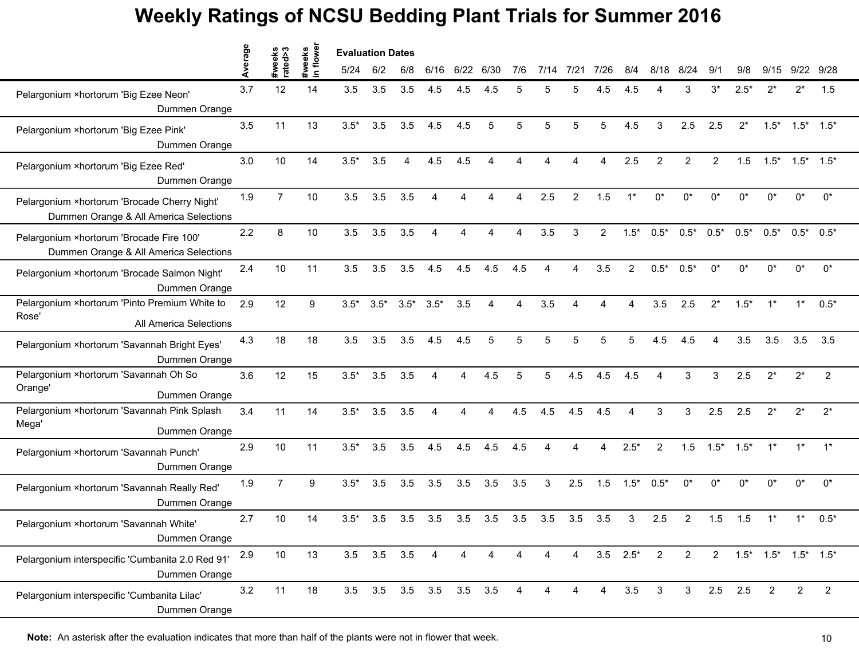|                                                                                         | erage | weeks<br>ę     | flower             | <b>Evaluation Dates</b> |        |        |                          |      |                        |     |     |         |                |                |                |                |                |        |        |                                 |                |
|-----------------------------------------------------------------------------------------|-------|----------------|--------------------|-------------------------|--------|--------|--------------------------|------|------------------------|-----|-----|---------|----------------|----------------|----------------|----------------|----------------|--------|--------|---------------------------------|----------------|
|                                                                                         |       | rate           | #weeks<br>$\equiv$ | 5/24                    | 6/2    | 6/8    | 6/16                     | 6/22 | 6/30                   | 7/6 |     | $7/2^7$ | 7/26           | 8/4            | 8              | 8/24           | 9/1            | 9/8    | 9/15   | 9/22                            | 9/28           |
| Pelargonium ×hortorum 'Big Ezee Neon'<br>Dummen Orange                                  | 3.7   | 12             | 14                 | 3.5                     | 3.5    | 3.5    | 4.5                      | 4.5  | 4.5                    | 5   |     |         | 4.5            | 4.5            |                | З              | 3*             | $2.5*$ | $2^*$  | $2^*$                           | 1.5            |
| Pelargonium ×hortorum 'Big Ezee Pink'<br>Dummen Orange                                  | 3.5   | 11             | 13                 | $3.5*$                  | 3.5    | 3.5    | 4.5                      | 4.5  | 5                      | 5   | 5   | 5       | 5              | 4.5            | 3              | 2.5            | 2.5            | $2^*$  | $1.5*$ | $1.5^*$ $1.5^*$                 |                |
| Pelargonium ×hortorum 'Big Ezee Red'<br>Dummen Orange                                   | 3.0   | 10             | 14                 | $3.5*$                  | 3.5    | 4      | 4.5                      | 4.5  |                        |     |     |         |                | 2.5            | 2              | $\overline{2}$ | 2              | 1.5    | $1.5*$ | $1.5^*$ $1.5^*$                 |                |
| Pelargonium × hortorum 'Brocade Cherry Night'<br>Dummen Orange & All America Selections | 1.9   | $\overline{7}$ | 10                 | 3.5                     | 3.5    | 3.5    | $\boldsymbol{\varDelta}$ | Δ    |                        |     | 2.5 | 2       | 1.5            | $1^*$          | $0^*$          | $0^*$          | $0^*$          | 0*     | $0^*$  | 0*                              | $0^*$          |
| Pelargonium ×hortorum 'Brocade Fire 100'<br>Dummen Orange & All America Selections      | 2.2   | 8              | 10                 | 3.5                     | 3.5    | 3.5    |                          | Δ    |                        |     | 3.5 | 3       | $\overline{2}$ | $1.5*$         | $0.5*$         | $0.5*$         | $0.5*$         | $0.5*$ | $0.5*$ | $0.5^*$ 0.5*                    |                |
| Pelargonium ×hortorum 'Brocade Salmon Night'<br>Dummen Orange                           | 2.4   | 10             | 11                 | 3.5                     | 3.5    | 3.5    | 4.5                      | 4.5  | 4.5                    | 4.5 | Δ   |         | 3.5            | $\overline{2}$ | $0.5*$         | $0.5*$         | $0^*$          | $0^*$  | $0^*$  | 0*                              | $0^*$          |
| Pelargonium × hortorum 'Pinto Premium White to<br>Rose'<br>All America Selections       | 2.9   | 12             | 9                  | $3.5*$                  | $3.5*$ | $3.5*$ | $3.5*$                   | 3.5  | $\boldsymbol{\Lambda}$ | Δ   | 3.5 |         |                |                | 3.5            | 2.5            | $2^*$          | $1.5*$ |        |                                 | $0.5*$         |
| Pelargonium ×hortorum 'Savannah Bright Eyes'<br>Dummen Orange                           | 4.3   | 18             | 18                 | 3.5                     | 3.5    | 3.5    | 4.5                      | 4.5  | 5                      | 5   | 5   | 5       | 5              | 5              | 4.5            | 4.5            | Δ              | 3.5    | 3.5    | 3.5                             | 3.5            |
| Pelargonium × hortorum 'Savannah Oh So<br>Orange'<br>Dummen Orange                      | 3.6   | 12             | 15                 | $3.5*$                  | 3.5    | 3.5    |                          | Δ    | 4.5                    | 5   |     | 4.5     | 4.5            | 4.5            |                |                | 3              | 2.5    | $2^*$  | $2^*$                           | $\overline{2}$ |
| Pelargonium ×hortorum 'Savannah Pink Splash<br>Mega'<br>Dummen Orange                   | 3.4   | 11             | 14                 | $3.5*$                  | 3.5    | 3.5    | $\boldsymbol{\varDelta}$ | Δ    | Δ                      | 4.5 | 4.5 | 4.5     | 4.5            | Δ              | 3              | 3              | 2.5            | 2.5    | $2^*$  | $2^*$                           | $2^*$          |
| Pelargonium ×hortorum 'Savannah Punch'<br>Dummen Orange                                 | 2.9   | 10             | 11                 | $3.5*$                  | 3.5    | 3.5    | 4.5                      | 4.5  | 4.5                    | 4.5 |     |         | 4              | $2.5*$         | $\overline{2}$ | 1.5            | $1.5*$         | $1.5*$ | $1*$   | $1*$                            | $1^*$          |
| Pelargonium ×hortorum 'Savannah Really Red'<br>Dummen Orange                            | 1.9   | $\overline{7}$ | 9                  | $3.5*$                  | 3.5    | 3.5    | 3.5                      | 3.5  | 3.5                    | 3.5 | 3   | 2.5     | 1.5            | $1.5*$         | $0.5*$         | $0^*$          | $0^*$          | $0^*$  | 0*     | 0*                              | $0^*$          |
| Pelargonium ×hortorum 'Savannah White'<br>Dummen Orange                                 | 2.7   | 10             | 14                 | $3.5*$                  | 3.5    | 3.5    | 3.5                      | 3.5  | 3.5                    | 3.5 | 3.5 | 3.5     | 3.5            | 3              | 2.5            | $\overline{2}$ | 1.5            | 1.5    |        |                                 | $0.5*$         |
| Pelargonium interspecific 'Cumbanita 2.0 Red 91'<br>Dummen Orange                       | 2.9   | 10             | 13                 | $3.5\quad 3.5$          |        | 3.5    | 4                        | 4    | 4                      | 4   |     | 4       |                | $3.5$ $2.5^*$  | $\overline{2}$ | $\overline{2}$ | $\overline{2}$ |        |        | $1.5^*$ $1.5^*$ $1.5^*$ $1.5^*$ |                |
| Pelargonium interspecific 'Cumbanita Lilac'<br>Dummen Orange                            | 3.2   | 11             | 18                 |                         |        |        | 3.5 3.5 3.5 3.5 3.5 3.5  |      |                        | 4   |     | 4       | $\overline{4}$ | 3.5            | 3              | 3 <sup>7</sup> | $2.5$ 2.5      |        | 2      | $\overline{2}$                  | 2              |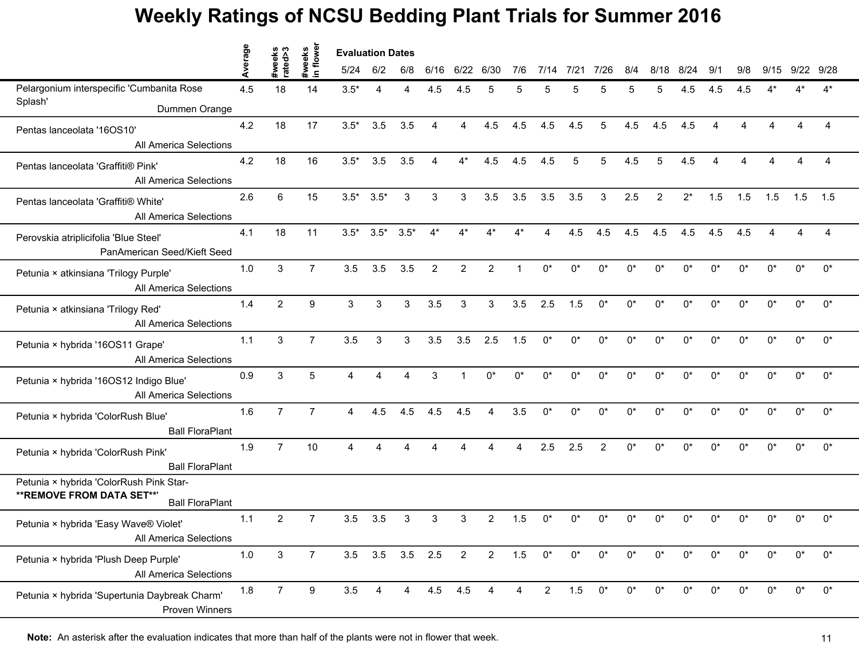|                                                                       | erage | weeks<br>ated>3 | flower<br>weeks | <b>Evaluation Dates</b> |                 |        |                |                |                        |     |                |       |                |       |            |            |                        |            |       |       |       |  |
|-----------------------------------------------------------------------|-------|-----------------|-----------------|-------------------------|-----------------|--------|----------------|----------------|------------------------|-----|----------------|-------|----------------|-------|------------|------------|------------------------|------------|-------|-------|-------|--|
|                                                                       |       |                 | $\mathbf{S}$    | 5/24                    | 6/2             | 6/8    | 6/16           | 6/22 6/30      |                        | 7/6 | 7/14           | 7/21  | 7/26           | 8/4   | 8/18       | 8/24       | 9/1                    | 9/8        | 9/15  | 9/22  | 9/28  |  |
| Pelargonium interspecific 'Cumbanita Rose                             | 4.5   | 18              | 14              | $3.5*$                  | 4               | Δ      | 4.5            | 4.5            | 5                      | 5   |                |       |                |       |            | 4.5        | 4.5                    | 4.5        |       |       | ⊿*    |  |
| Splash'<br>Dummen Orange                                              |       |                 |                 |                         |                 |        |                |                |                        |     |                |       |                |       |            |            |                        |            |       |       |       |  |
| Pentas lanceolata '16OS10'                                            | 4.2   | 18              | 17              | $3.5*$                  | 3.5             | 3.5    | $\overline{4}$ | 4              | 4.5                    | 4.5 | 4.5            | 4.5   | 5              | 4.5   | 4.5        | 4.5        | $\boldsymbol{\Lambda}$ |            |       |       |       |  |
| All America Selections                                                |       |                 |                 |                         |                 |        |                |                |                        |     |                |       |                |       |            |            |                        |            |       |       |       |  |
| Pentas lanceolata 'Graffiti® Pink'                                    | 4.2   | 18              | 16              | $3.5*$                  | 3.5             | 3.5    | 4              | $4^*$          | 4.5                    | 4.5 | 4.5            | 5     | 5              | 4.5   | 5          | 4.5        |                        |            |       |       |       |  |
| <b>All America Selections</b>                                         |       |                 |                 |                         |                 |        |                |                |                        |     |                |       |                |       |            |            |                        |            |       |       |       |  |
| Pentas lanceolata 'Graffiti® White'                                   | 2.6   | 6               | 15              | $3.5*$                  | $3.5*$          | 3      | 3              | 3              | 3.5                    | 3.5 | 3.5            | 3.5   | 3              | 2.5   | 2          | $2^*$      | 1.5                    | 1.5        | 1.5   | 1.5   | 1.5   |  |
| <b>All America Selections</b>                                         |       |                 |                 |                         |                 |        |                |                |                        |     |                |       |                |       |            |            |                        |            |       |       |       |  |
| Perovskia atriplicifolia 'Blue Steel'                                 | 4.1   | 18              | 11              | $3.5*$                  | $3.5*$          | $3.5*$ |                |                |                        |     |                | 4.5   | 4.5            | 4.5   | 4.5        | 4.5        | 4.5                    | 4.5        |       |       |       |  |
| PanAmerican Seed/Kieft Seed                                           |       |                 |                 |                         |                 |        |                |                |                        |     |                |       |                |       |            |            |                        |            |       |       |       |  |
| Petunia × atkinsiana 'Trilogy Purple'                                 | 1.0   | $\mathbf{3}$    | $\overline{7}$  | 3.5                     | 3.5             | 3.5    | 2              | $\overline{2}$ | $\overline{2}$         | 1   | $0^*$          | $0^*$ | $0^*$          | $0^*$ | $0^*$      | $0^*$      | $0^*$                  | $0^*$      | $0^*$ | $0^*$ | $0^*$ |  |
| All America Selections                                                |       |                 |                 |                         |                 |        |                |                |                        |     |                |       |                |       |            |            |                        |            |       |       |       |  |
| Petunia × atkinsiana 'Trilogy Red'                                    | 1.4   | $\overline{2}$  | 9               | 3                       | 3               | 3      | 3.5            | 3              | 3                      | 3.5 | 2.5            | 1.5   | $0^*$          | $0^*$ | $0^*$      | $0^*$      | $0^*$                  | $^{\circ}$ | 0*    | 0*    | $0^*$ |  |
| <b>All America Selections</b>                                         |       |                 |                 |                         |                 |        |                |                |                        |     |                |       |                |       |            |            |                        |            |       |       |       |  |
| Petunia × hybrida '16OS11 Grape'                                      | 1.1   | 3               | $\overline{7}$  | 3.5                     | $\sqrt{3}$      | 3      | 3.5            | 3.5            | 2.5                    | 1.5 | $0^*$          | $0^*$ | $0^*$          | $0^*$ | $0^*$      | $0^*$      | $0^*$                  | 0*         | 0*    | $0^*$ | $0^*$ |  |
| <b>All America Selections</b>                                         |       |                 |                 |                         |                 |        |                |                |                        |     |                |       |                |       |            |            |                        |            |       |       |       |  |
| Petunia × hybrida '16OS12 Indigo Blue'                                | 0.9   | 3               | 5               | Δ                       |                 |        | 3              |                |                        | n*  | n*             | n*    | n*             | n*    |            | $^{\circ}$ | n*                     | n*         |       | n*    | $0^*$ |  |
| <b>All America Selections</b>                                         |       |                 |                 |                         |                 |        |                |                |                        |     |                |       |                |       |            |            |                        |            |       |       |       |  |
| Petunia × hybrida 'ColorRush Blue'                                    | 1.6   | $\overline{7}$  | $\overline{7}$  | $\overline{4}$          | 4.5             | 4.5    | 4.5            | 4.5            | $\overline{4}$         | 3.5 | $0^*$          | $0^*$ | $0^*$          | $0^*$ | $0^*$      | $0^*$      | $0^*$                  | $0^*$      | $0^*$ | $0^*$ | $0^*$ |  |
| <b>Ball FloraPlant</b>                                                |       |                 |                 |                         |                 |        |                |                |                        |     |                |       |                |       |            |            |                        |            |       |       |       |  |
| Petunia × hybrida 'ColorRush Pink'                                    | 1.9   | $\overline{7}$  | 10              | $\overline{A}$          | 4               | 4      | $\Delta$       | 4              |                        | 4   | 2.5            | 2.5   | $\overline{2}$ | $0^*$ | $^{\circ}$ | $0^*$      | n*                     | n*         | n*    | በ*    | $0^*$ |  |
| <b>Ball FloraPlant</b>                                                |       |                 |                 |                         |                 |        |                |                |                        |     |                |       |                |       |            |            |                        |            |       |       |       |  |
| Petunia × hybrida 'ColorRush Pink Star-<br>** REMOVE FROM DATA SET**' |       |                 |                 |                         |                 |        |                |                |                        |     |                |       |                |       |            |            |                        |            |       |       |       |  |
| <b>Ball FloraPlant</b>                                                |       |                 |                 |                         |                 |        |                |                |                        |     |                |       |                |       |            |            |                        |            |       |       |       |  |
| Petunia × hybrida 'Easy Wave® Violet'                                 | 1.1   | $\overline{c}$  | 7               | 3.5                     | 3.5             | 3      | 3              | 3              | $\overline{2}$         | 1.5 |                | n*    |                |       |            |            |                        |            |       |       | $0^*$ |  |
| All America Selections                                                |       |                 |                 |                         |                 |        |                |                |                        |     |                |       |                |       |            |            |                        |            |       |       |       |  |
| Petunia × hybrida 'Plush Deep Purple'                                 | 1.0   | $\mathbf{3}$    | $\overline{7}$  |                         | 3.5 3.5 3.5 2.5 |        |                | $\overline{2}$ | $\overline{2}$         | 1.5 | $0^*$          | $0^*$ | $0^*$          | $0^*$ | $0^*$      | $0^*$      | $0^*$                  | $0^*$      | 0*    | 0*    | $0^*$ |  |
| All America Selections                                                |       |                 |                 |                         |                 |        |                |                |                        |     |                |       |                |       |            |            |                        |            |       |       |       |  |
| Petunia × hybrida 'Supertunia Daybreak Charm'                         | 1.8   | $\overline{7}$  | 9               | 3.5                     | 4               | 4      | 4.5            | 4.5            | $\boldsymbol{\Lambda}$ | 4   | $\overline{2}$ | 1.5   | $0^*$          | $0^*$ | $^{\circ}$ | $0^*$      | $0^*$                  | n*         | n*    | $0^*$ | $0^*$ |  |
| <b>Proven Winners</b>                                                 |       |                 |                 |                         |                 |        |                |                |                        |     |                |       |                |       |            |            |                        |            |       |       |       |  |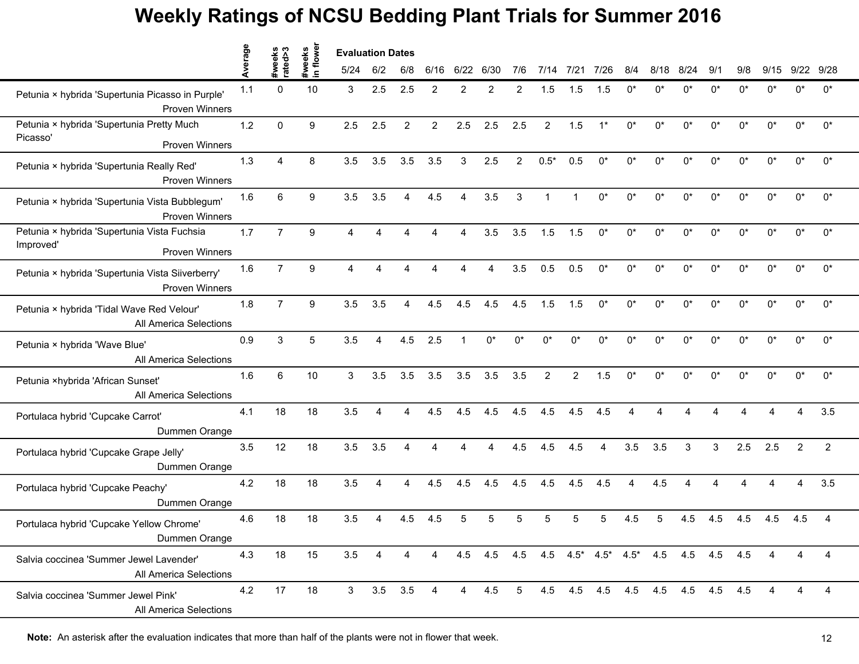|                                                                           | erage | weeks<br>ated>3 | flower             | <b>Evaluation Dates</b> |     |                |                |          |             |                |                |                |       |       |                                             |           |       |       |                        |       |                |
|---------------------------------------------------------------------------|-------|-----------------|--------------------|-------------------------|-----|----------------|----------------|----------|-------------|----------------|----------------|----------------|-------|-------|---------------------------------------------|-----------|-------|-------|------------------------|-------|----------------|
|                                                                           |       | ត្ថ             | #weeks<br>$\equiv$ | 5/24                    | 6/2 | 6/8            | 6/16           | 6/22     | 6/30        | 7/6            | 7/14           | 7/21           | 7/26  | 8/4   | 8/18                                        | 8/<br>/24 | 9/1   | 9/8   | 9/15                   | 9/22  | 9/28           |
| Petunia × hybrida 'Supertunia Picasso in Purple'<br><b>Proven Winners</b> | 1.1   | $\Omega$        | 10                 | 3                       | 2.5 | 2.5            | 2              | 2        | 2           | 2              | 1.5            | 1.5            | 1.5   | ሰ*    | n                                           | n*        | n*    | n*    | n*                     |       | $0^*$          |
| Petunia × hybrida 'Supertunia Pretty Much                                 | 1.2   | $\Omega$        | 9                  | 2.5                     | 2.5 | $\overline{2}$ | $\overline{2}$ | 2.5      | 2.5         | 2.5            | $\overline{2}$ | 1.5            | $1^*$ | $0^*$ | $0^*$                                       | $0^*$     | $0^*$ | $0^*$ | 0*                     | 0*    | $0^*$          |
| Picasso'<br><b>Proven Winners</b>                                         |       |                 |                    |                         |     |                |                |          |             |                |                |                |       |       |                                             |           |       |       |                        |       |                |
| Petunia × hybrida 'Supertunia Really Red'<br><b>Proven Winners</b>        | 1.3   | 4               | 8                  | 3.5                     | 3.5 | 3.5            | 3.5            | 3        | 2.5         | $\overline{2}$ | $0.5*$         | 0.5            | $0^*$ | 0*    | $0^*$                                       | 0*        | 0*    | n*    | 0*                     | 0*    | 0*             |
| Petunia × hybrida 'Supertunia Vista Bubblegum'<br><b>Proven Winners</b>   | 1.6   | 6               | 9                  | 3.5                     | 3.5 | 4              | 4.5            | $\Delta$ | 3.5         | 3              |                |                | $0^*$ | $0^*$ | $0^*$                                       | $0^*$     | $0^*$ | $0^*$ | $0^*$                  | $0^*$ | $0^*$          |
| Petunia × hybrida 'Supertunia Vista Fuchsia                               | 1.7   | $\overline{7}$  | 9                  | 4                       |     |                |                |          | 3.5         | 3.5            | 1.5            | 1.5            | $0^*$ | 0*    | n*                                          | n*        | 0*    | U¥    | n*                     | n*    | $0^*$          |
| Improved'<br><b>Proven Winners</b>                                        |       |                 |                    |                         |     |                |                |          |             |                |                |                |       |       |                                             |           |       |       |                        |       |                |
| Petunia × hybrida 'Supertunia Vista Siiverberry'<br><b>Proven Winners</b> | 1.6   | $\overline{7}$  | 9                  | $\overline{4}$          | 4   | Δ              |                |          | Δ           | 3.5            | 0.5            | 0.5            | $0^*$ | $0^*$ | $0^*$                                       | $0^*$     | $0^*$ | $0^*$ | $0^*$                  | $0^*$ | $0^*$          |
| Petunia × hybrida 'Tidal Wave Red Velour'<br>All America Selections       | 1.8   | $\overline{7}$  | 9                  | 3.5                     | 3.5 | 4              | 4.5            | 4.5      | 4.5         | 4.5            | 1.5            | 1.5            | $0^*$ | 0*    | $0^*$                                       | 0*        | $0^*$ | 0*    | $0^*$                  | $0^*$ | 0*             |
| Petunia × hybrida 'Wave Blue'<br>All America Selections                   | 0.9   | 3               | 5                  | 3.5                     | 4   | 4.5            | 2.5            |          | $0^*$       | $0^*$          | $0^*$          | $0^*$          | $0^*$ | $0^*$ | $0^*$                                       | 0*        | $0^*$ | 0*    | $0^*$                  | $0^*$ | $0^*$          |
| Petunia ×hybrida 'African Sunset'<br><b>All America Selections</b>        | 1.6   | 6               | 10                 | 3                       | 3.5 | 3.5            | 3.5            | 3.5      | 3.5         | 3.5            | 2              | $\overline{2}$ | 1.5   | 0*    | η*                                          | n*        | n*    | n*    | n*                     | U¥    | $0^*$          |
| Portulaca hybrid 'Cupcake Carrot'<br>Dummen Orange                        | 4.1   | 18              | 18                 | 3.5                     | 4   | Δ              | 4.5            | 4.5      | 4.5         | 4.5            | 4.5            | 4.5            | 4.5   | Δ     | Δ                                           |           |       |       | $\boldsymbol{\Lambda}$ | 4     | 3.5            |
| Portulaca hybrid 'Cupcake Grape Jelly'<br>Dummen Orange                   | 3.5   | 12              | 18                 | 3.5                     | 3.5 | Δ              |                | Δ        |             | 4.5            | 4.5            | 4.5            | 4     | 3.5   | 3.5                                         | 3         | 3     | 2.5   | 2.5                    | 2     | $\overline{c}$ |
| Portulaca hybrid 'Cupcake Peachy'<br>Dummen Orange                        | 4.2   | 18              | 18                 | 3.5                     | Δ   | Δ              | 4.5            | 4.5      | 4.5         | 4.5            | 4.5            | 4.5            | 4.5   |       | 4.5                                         |           |       |       |                        |       | 3.5            |
| Portulaca hybrid 'Cupcake Yellow Chrome'<br>Dummen Orange                 | 4.6   | 18              | 18                 | 3.5                     |     | 4.5            | 4.5            | 5        |             |                |                |                |       | 4.5   |                                             | 4.5       | 4.5   | 4.5   | 4.5                    | 4.5   | 4              |
| Salvia coccinea 'Summer Jewel Lavender'<br>All America Selections         | 4.3   | 18              | 15                 | 3.5                     | 4   | 4              | 4              |          | 4.5 4.5 4.5 |                |                |                |       |       | 4.5 4.5 $4.5^*$ 4.5 $4.5^*$ 4.5 4.5 4.5 4.5 |           |       |       | 4                      | 4     | 4              |
| Salvia coccinea 'Summer Jewel Pink'<br>All America Selections             | 4.2   | 17              | 18                 | $\mathbf{3}$            | 3.5 | 3.5            | 4              | 4        | 4.5         | 5              |                |                |       |       | 4.5 4.5 4.5 4.5 4.5 4.5 4.5                 |           |       | 4.5   |                        | 4     | 4              |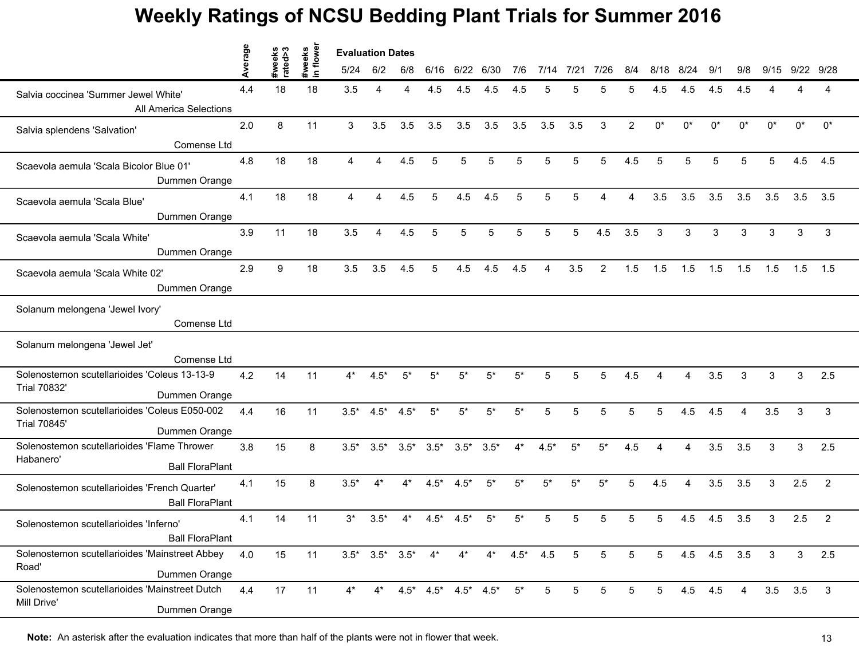|                                                                                       | erage | ო<br>eks<br>a>9 | flower<br>#weeks | <b>Evaluation Dates</b> |                         |                 |                                 |                 |       |               |                 |       |                 |                 |                 |                        |             |                |       |                |              |
|---------------------------------------------------------------------------------------|-------|-----------------|------------------|-------------------------|-------------------------|-----------------|---------------------------------|-----------------|-------|---------------|-----------------|-------|-----------------|-----------------|-----------------|------------------------|-------------|----------------|-------|----------------|--------------|
|                                                                                       |       | ate             | $\equiv$         | 5/24                    | 6/2                     | 6/8             | 6/16                            | 6/22            | 6/30  | 7/6           | 7/14            | 7/21  | 7/26            | 8/4             | 8/18            | 8/24                   | 9/1         | 9/8            | 9/15  | 9/22           | 9/28         |
| Salvia coccinea 'Summer Jewel White'<br>All America Selections                        | 4.4   | 18              | 18               | 3.5                     | Δ                       |                 | 4.5                             | 4.5             | 4.5   | 4.5           |                 |       |                 | 5               | 4.5             | 4.5                    | 4.5         | 4.5            |       |                | 4            |
|                                                                                       | 2.0   | 8               | 11               | 3                       | 3.5                     | 3.5             | 3.5                             | 3.5             | 3.5   | 3.5           | 3.5             | 3.5   | 3               | 2               | $0^*$           | $0^*$                  | $0^*$       | $0^*$          | $0^*$ | $0^*$          | $0^*$        |
| Salvia splendens 'Salvation'<br>Comense Ltd                                           |       |                 |                  |                         |                         |                 |                                 |                 |       |               |                 |       |                 |                 |                 |                        |             |                |       |                |              |
| Scaevola aemula 'Scala Bicolor Blue 01'<br>Dummen Orange                              | 4.8   | 18              | 18               | 4                       | 4                       | 4.5             | 5                               | 5               | 5     | 5             | 5               | 5     | 5               | 4.5             | 5               | 5                      | 5           | 5              | 5     | 4.5            | 4.5          |
| Scaevola aemula 'Scala Blue'<br>Dummen Orange                                         | 4.1   | 18              | 18               | 4                       | 4                       | 4.5             | 5                               | 4.5             | 4.5   | 5             | 5               | 5     |                 | Δ               | 3.5             | 3.5                    | 3.5         | 3.5            | 3.5   | 3.5            | 3.5          |
| Scaevola aemula 'Scala White'<br>Dummen Orange                                        | 3.9   | 11              | 18               | 3.5                     | 4                       | 4.5             | 5                               | 5               |       |               |                 | 5     | 4.5             | 3.5             | 3               | 3                      | 3           | 3              | 3     | 3              | 3            |
| Scaevola aemula 'Scala White 02'<br>Dummen Orange                                     | 2.9   | 9               | 18               | 3.5                     | 3.5                     | 4.5             | 5                               | 4.5             | 4.5   | 4.5           | 4               | 3.5   | 2               | 1.5             | 1.5             | 1.5                    | 1.5         | 1.5            | 1.5   | 1.5            | 1.5          |
| Solanum melongena 'Jewel Ivory'<br>Comense Ltd                                        |       |                 |                  |                         |                         |                 |                                 |                 |       |               |                 |       |                 |                 |                 |                        |             |                |       |                |              |
| Solanum melongena 'Jewel Jet'<br>Comense Ltd                                          |       |                 |                  |                         |                         |                 |                                 |                 |       |               |                 |       |                 |                 |                 |                        |             |                |       |                |              |
| Solenostemon scutellarioides 'Coleus 13-13-9<br><b>Trial 70832'</b><br>Dummen Orange  | 4.2   | 14              | 11               | 4*                      | $4.5*$                  |                 |                                 | 5*              | 5*    | 5*            |                 |       |                 | 4.5             |                 |                        | 3.5         | 3              | 3     | 3              | 2.5          |
| Solenostemon scutellarioides 'Coleus E050-002<br><b>Trial 70845'</b><br>Dummen Orange | 4.4   | 16              | 11               | $3.5*$                  | $4.5*$                  | $4.5*$          | $5^*$                           | $5*$            | $5*$  | $5^*$         | 5               | 5     | 5               | 5               | 5               | 4.5                    | 4.5         | $\overline{4}$ | 3.5   | 3              | 3            |
| Solenostemon scutellarioides 'Flame Thrower<br>Habanero'<br><b>Ball FloraPlant</b>    | 3.8   | 15              | 8                | $3.5*$                  | $3.5*$                  | $3.5^*$ $3.5^*$ |                                 | $3.5^*$ $3.5^*$ |       | $4^*$         | $4.5*$          | $5*$  | $5*$            | 4.5             | Δ               | 4                      | 3.5         | 3.5            | 3     | 3              | 2.5          |
| Solenostemon scutellarioides 'French Quarter'<br><b>Ball FloraPlant</b>               | 4.1   | 15              | 8                | $3.5*$                  | $4^*$                   | 4*              | $4.5*$                          | $4.5*$          | $5^*$ | $5^*$         | $5^*$           | $5^*$ | $5^*$           | 5               | 4.5             | $\boldsymbol{\Lambda}$ | 3.5         | 3.5            | 3     | 2.5            | 2            |
| Solenostemon scutellarioides 'Inferno'<br><b>Ball FloraPlant</b>                      | 4.1   | 14              | 11               | $3^*$                   | $3.5*$                  |                 | 4.5*                            | $4.5*$          | 5*    | 5*            |                 |       |                 | 5               |                 | 4.5                    | 4.5         | 3.5            | 3     | 2.5            | 2            |
| Solenostemon scutellarioides 'Mainstreet Abbey<br>Road'<br>Dummen Orange              | 4.0   | 15              | 11               |                         | $3.5^*$ $3.5^*$ $3.5^*$ |                 | $4^*$                           | $4^*$           |       | $4^*$ $4.5^*$ | 4.5             | 5     | $5\phantom{.0}$ | $5\phantom{.0}$ | $5\overline{)}$ |                        | 4.5 4.5 3.5 |                | 3     | 3              | 2.5          |
| Solenostemon scutellarioides 'Mainstreet Dutch<br>Mill Drive'<br>Dummen Orange        | 4.4   | 17              | 11               | $4^*$                   | $4^*$                   |                 | $4.5^*$ $4.5^*$ $4.5^*$ $4.5^*$ |                 |       | $5^*$         | $5\overline{)}$ | 5     | 5               | 5               | $5\overline{)}$ |                        | 4.5 4.5     | 4              |       | $3.5\quad 3.5$ | $\mathbf{3}$ |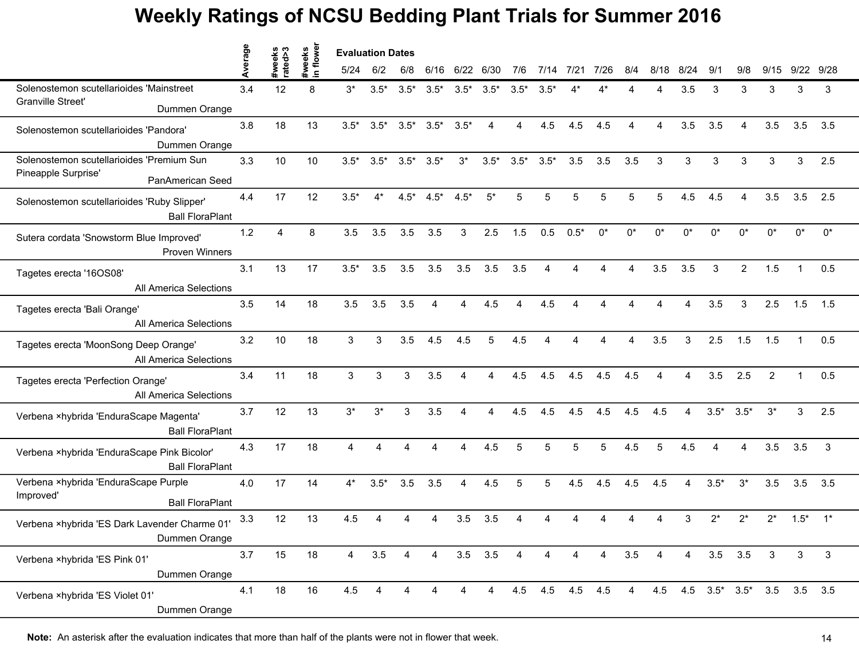|                                                                             | werage | #weeks<br>rated>3 | weeks<br>1 flower | <b>Evaluation Dates</b> |                |                 |        |                        |                |        |                 |        |          |                |                        |                |                        |                |                               |        |       |
|-----------------------------------------------------------------------------|--------|-------------------|-------------------|-------------------------|----------------|-----------------|--------|------------------------|----------------|--------|-----------------|--------|----------|----------------|------------------------|----------------|------------------------|----------------|-------------------------------|--------|-------|
|                                                                             |        |                   | $\mathbf{a}$      | 5/24                    | 6/2            | 6/8             | 6/16   | 6/22                   | 6/30           | 7/6    | 7/14            | 7/21   | 7/26     | 8/4            | 8/18                   | 8/24           | 9/1                    | 9/8            | 9/15                          | 9/22   | 9/28  |
| Solenostemon scutellarioides 'Mainstreet                                    | 3.4    | 12                | 8                 | $3^*$                   | $3.5*$         | $3.5*$          | $3.5*$ | $3.5*$                 | $3.5*$         | $3.5*$ | $3.5*$          |        |          |                |                        | 3.5            | 3                      | 3              | 3                             | 3      | 3     |
| <b>Granville Street'</b><br>Dummen Orange                                   |        |                   |                   |                         |                |                 |        |                        |                |        |                 |        |          |                |                        |                |                        |                |                               |        |       |
| Solenostemon scutellarioides 'Pandora'                                      | 3.8    | 18                | 13                | $3.5*$                  | $3.5*$         | $3.5*$          | $3.5*$ | $3.5*$                 | 4              | 4      | 4.5             | 4.5    | 4.5      | $\Delta$       | $\boldsymbol{\Lambda}$ | 3.5            | 3.5                    | 4              | 3.5                           | 3.5    | 3.5   |
| Dummen Orange<br>Solenostemon scutellarioides 'Premium Sun                  | 3.3    | 10                | 10                | $3.5*$                  | $3.5*$         | $3.5^*$ $3.5^*$ |        | $3^*$                  | $3.5*$         | $3.5*$ | $3.5*$          | 3.5    | 3.5      | 3.5            | 3                      | 3              | 3                      | 3              | 3                             | 3      | 2.5   |
| Pineapple Surprise'<br>PanAmerican Seed                                     |        |                   |                   |                         |                |                 |        |                        |                |        |                 |        |          |                |                        |                |                        |                |                               |        |       |
| Solenostemon scutellarioides 'Ruby Slipper'<br><b>Ball FloraPlant</b>       | 4.4    | 17                | 12                | $3.5*$                  | $4^*$          | $4.5*$          | $4.5*$ | $4.5*$                 | $5^*$          | 5      | 5               | 5      | 5        | 5              | 5                      | 4.5            | 4.5                    | 4              | 3.5                           | 3.5    | 2.5   |
| Sutera cordata 'Snowstorm Blue Improved'<br><b>Proven Winners</b>           | 1.2    | $\Delta$          | 8                 | 3.5                     | 3.5            | 3.5             | 3.5    | 3                      | 2.5            | 1.5    | 0.5             | $0.5*$ | $0^*$    | $0^*$          | n*                     | U <sub>*</sub> | n*                     | n*             | $^{\circ}$                    | ሰ*     | $0^*$ |
| Tagetes erecta '16OS08'<br>All America Selections                           | 3.1    | 13                | 17                | $3.5*$                  | 3.5            | 3.5             | 3.5    | 3.5                    | 3.5            | 3.5    | 4               | Δ      | $\Delta$ | $\Delta$       | 3.5                    | 3.5            | 3                      | $\overline{2}$ | 1.5                           | 1      | 0.5   |
| Tagetes erecta 'Bali Orange'<br>All America Selections                      | 3.5    | 14                | 18                | 3.5                     | 3.5            | 3.5             | 4      | $\overline{A}$         | 4.5            | 4      | 4.5             |        | Δ        |                | $\boldsymbol{\Lambda}$ | 4              | 3.5                    | 3              | 2.5                           | 1.5    | 1.5   |
| Tagetes erecta 'MoonSong Deep Orange'<br>All America Selections             | 3.2    | 10                | 18                | 3                       | 3              | 3.5             | 4.5    | 4.5                    | 5              | 4.5    | 4               |        | Δ        | 4              | 3.5                    | 3              | 2.5                    | 1.5            | 1.5                           |        | 0.5   |
| Tagetes erecta 'Perfection Orange'<br>All America Selections                | 3.4    | 11                | 18                | 3                       | 3              | 3               | 3.5    |                        |                | 4.5    | 4.5             | 4.5    | 4.5      | 4.5            |                        |                | 3.5                    | 2.5            | 2                             |        | 0.5   |
| Verbena ×hybrida 'EnduraScape Magenta'<br><b>Ball FloraPlant</b>            | 3.7    | 12                | 13                | $3^*$                   | $3^*$          | 3               | 3.5    | $\boldsymbol{\Lambda}$ | 4              | 4.5    | 4.5             | 4.5    | 4.5      | 4.5            | 4.5                    | 4              | $3.5*$                 | $3.5*$         | $3^*$                         | 3      | 2.5   |
| Verbena ×hybrida 'EnduraScape Pink Bicolor'<br><b>Ball FloraPlant</b>       | 4.3    | 17                | 18                | $\overline{A}$          | Δ              | Δ               | Δ      | 4                      | 4.5            | 5      | 5               | 5      | 5        | 4.5            | 5                      | 4.5            | $\boldsymbol{\Lambda}$ | 4              | 3.5                           | 3.5    | 3     |
| Verbena ×hybrida 'EnduraScape Purple<br>Improved'<br><b>Ball FloraPlant</b> | 4.0    | 17                | 14                | $4^*$                   | $3.5*$         | 3.5             | 3.5    | 4                      | 4.5            | 5      | 5               | 4.5    | 4.5      | 4.5            | 4.5                    | 4              | $3.5*$                 | $3^*$          | 3.5                           | 3.5    | 3.5   |
| Verbena ×hybrida 'ES Dark Lavender Charme 01'<br>Dummen Orange              | 3.3    | 12                | 13                | 4.5                     |                |                 |        | 3.5                    | 3.5            |        |                 |        |          |                |                        | 3              | $2^*$                  | $2^*$          | $2^*$                         | $1.5*$ | $1^*$ |
| Verbena ×hybrida 'ES Pink 01'<br>Dummen Orange                              | 3.7    | 15                | 18                | $\overline{4}$          | 3.5            | 4               | 4      | $3.5$ $3.5$            |                | 4      | 4               | 4      | 4        | 3.5            | 4                      | 4              |                        | $3.5$ $3.5$    | $\mathbf{3}$                  | 3      | 3     |
| Verbena ×hybrida 'ES Violet 01'<br>Dummen Orange                            | 4.1    | 18                | 16                | 4.5                     | $\overline{4}$ | 4               |        | $\overline{4}$         | $\overline{4}$ |        | 4.5 4.5 4.5 4.5 |        |          | $\overline{4}$ |                        |                |                        |                | 4.5 4.5 3.5* 3.5* 3.5 3.5 3.5 |        |       |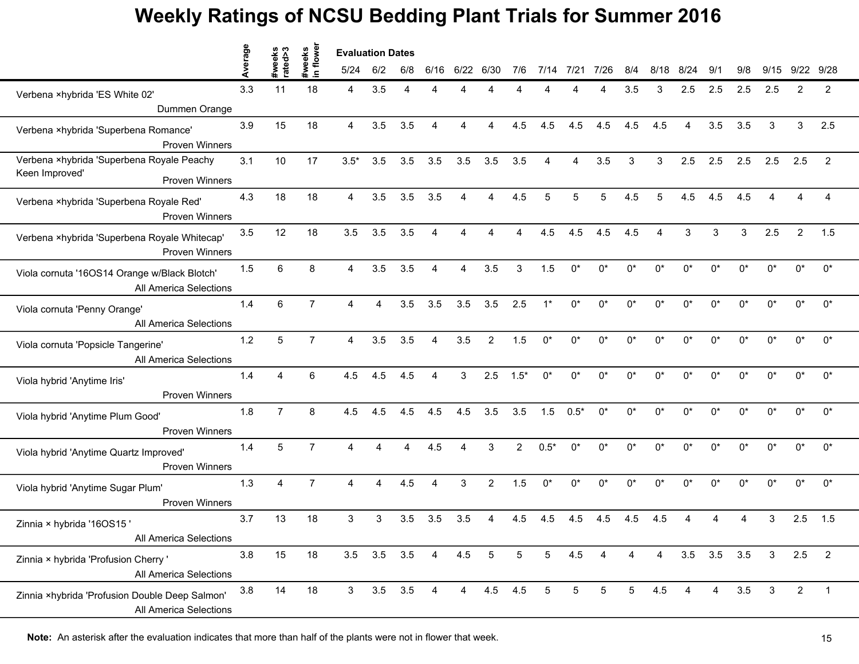|                                                                                      | Average | #weeks<br>rated>3 | #weeks<br>in flower | <b>Evaluation Dates</b> |                |                        |                |                |                 |             |        |                 |            |                 |      |                        |                   |       |              |                |                |
|--------------------------------------------------------------------------------------|---------|-------------------|---------------------|-------------------------|----------------|------------------------|----------------|----------------|-----------------|-------------|--------|-----------------|------------|-----------------|------|------------------------|-------------------|-------|--------------|----------------|----------------|
|                                                                                      |         |                   |                     | 5/24                    | 6/2            | 6/8                    | 6/16           | 6/22           | 6/30            | 7/6         | 7/14   | 7/21            | 7/26       | 8/4             | 8/18 | 8/24                   | 9/1               | 9/8   | 9/15         | 9/22           | 9/28           |
| Verbena ×hybrida 'ES White 02'<br>Dummen Orange                                      | 3.3     | 11                | 18                  | 4                       | 3.5            |                        |                |                |                 |             |        |                 |            | 3.5             | 3    | 2.5                    | 2.5               | 2.5   | 2.5          | 2              | $\overline{c}$ |
| Verbena ×hybrida 'Superbena Romance'<br><b>Proven Winners</b>                        | 3.9     | 15                | 18                  | $\overline{4}$          | 3.5            | 3.5                    | 4              | 4              | 4               | 4.5         | 4.5    | 4.5             | 4.5        | 4.5             | 4.5  | $\boldsymbol{\Lambda}$ | 3.5               | 3.5   | 3            | 3              | 2.5            |
| Verbena ×hybrida 'Superbena Royale Peachy<br>Keen Improved'<br><b>Proven Winners</b> | 3.1     | 10                | 17                  | $3.5*$                  | 3.5            | 3.5                    | 3.5            | 3.5            | 3.5             | 3.5         | 4      | 4               | 3.5        | 3               | 3    | 2.5                    | 2.5               | 2.5   | 2.5          | 2.5            | $\overline{2}$ |
| Verbena ×hybrida 'Superbena Royale Red'<br><b>Proven Winners</b>                     | 4.3     | 18                | 18                  | $\overline{4}$          | 3.5            | 3.5                    | 3.5            | 4              | 4               | 4.5         | 5      | 5               | 5          | 4.5             | 5    | 4.5                    | 4.5               | 4.5   |              |                | Δ              |
| Verbena ×hybrida 'Superbena Royale Whitecap'<br><b>Proven Winners</b>                | 3.5     | 12                | 18                  | 3.5                     | 3.5            | 3.5                    |                |                |                 |             | 4.5    | 4.5             | 4.5        | 4.5             |      | 3                      | 3                 | 3     | 2.5          | 2              | 1.5            |
| Viola cornuta '16OS14 Orange w/Black Blotch'<br>All America Selections               | 1.5     | 6                 | 8                   | $\overline{4}$          | 3.5            | 3.5                    | $\overline{4}$ | 4              | 3.5             | 3           | 1.5    | $0^*$           | $0^*$      | $0^*$           | 0*   | $0^*$                  | $0^*$             | $0^*$ | $0^*$        | $0^*$          | $0^*$          |
| Viola cornuta 'Penny Orange'<br>All America Selections                               | 1.4     | 6                 | $\overline{7}$      | $\overline{4}$          | $\overline{4}$ | 3.5                    | 3.5            | 3.5            | 3.5             | 2.5         | $1^*$  | $0^*$           | $0^*$      | $0^*$           | 0*   | $0^*$                  | $0^*$             | $0^*$ | $0^*$        | 0*             | 0*             |
| Viola cornuta 'Popsicle Tangerine'<br>All America Selections                         | 1.2     | 5                 | $\overline{7}$      | $\overline{4}$          | 3.5            | 3.5                    | $\overline{4}$ | 3.5            | $\overline{2}$  | 1.5         | $0^*$  | $0^*$           | $0^*$      | $0^*$           | 0*   | 0*                     | $0^*$             | $0^*$ | $0^*$        | $0^*$          | $0^*$          |
| Viola hybrid 'Anytime Iris'<br>Proven Winners                                        | 1.4     | 4                 | 6                   | 4.5                     | 4.5            | 4.5                    |                | 3              | 2.5             | $1.5*$      | $0^*$  | $0^*$           | $^{\circ}$ | n*              | በ*   | U <sub>*</sub>         | $^{\circ}$        | n*    | n*           | n*             | $0^*$          |
| Viola hybrid 'Anytime Plum Good'<br><b>Proven Winners</b>                            | 1.8     | $\overline{7}$    | 8                   | 4.5                     | 4.5            | 4.5                    | 4.5            | 4.5            | 3.5             | 3.5         | 1.5    | $0.5*$          | $0^*$      | $0^*$           | 0*   | $0^*$                  | $0^*$             | $0^*$ | $0^*$        | $0^*$          | $0^*$          |
| Viola hybrid 'Anytime Quartz Improved'<br>Proven Winners                             | 1.4     | 5                 | $\overline{7}$      | $\overline{A}$          | $\Delta$       | $\boldsymbol{\Lambda}$ | 4.5            | 4              | 3               | $2^{\circ}$ | $0.5*$ | $0^*$           | $0^*$      | $0^*$           | 0*   | 0*                     | $0^*$             | $0^*$ | $0^*$        | $0^*$          | 0*             |
| Viola hybrid 'Anytime Sugar Plum'<br>Proven Winners                                  | 1.3     | 4                 | $\overline{7}$      | 4                       | 4              | 4.5                    | $\overline{4}$ | 3              | $\overline{2}$  | 1.5         | $0^*$  | $0^*$           | 0*         | $0^*$           | 0*   | 0*                     | 0*                | 0*    | 0*           | $0^*$          | $0^*$          |
| Zinnia × hybrida '16OS15'<br>All America Selections                                  | 3.7     | 13                | 18                  | 3                       | 3              | 3.5                    | 3.5            | 3.5            |                 | 4.5         | 4.5    | 4.5             | 4.5        | 4.5             | 4.5  |                        |                   |       | 3            | 2.5            | 1.5            |
| Zinnia × hybrida 'Profusion Cherry '<br>All America Selections                       | 3.8     | 15                | 18                  |                         | 3.5 3.5 3.5 4  |                        |                | 4.5            | $5\overline{5}$ | 5           | 5      | 4.5             | 4          | 4               | 4    |                        | $3.5$ $3.5$ $3.5$ |       | $\mathbf{3}$ | 2.5            | $\overline{2}$ |
| Zinnia ×hybrida 'Profusion Double Deep Salmon'<br>All America Selections             | 3.8     | 14                | 18                  | 3 <sup>7</sup>          | $3.5\quad 3.5$ |                        | 4              | $\overline{4}$ | $4.5$ $4.5$     |             | 5      | $5\phantom{.0}$ | 5          | $5\phantom{.0}$ | 4.5  | Δ                      | 4                 | 3.5   | 3            | $\overline{2}$ | $\overline{1}$ |